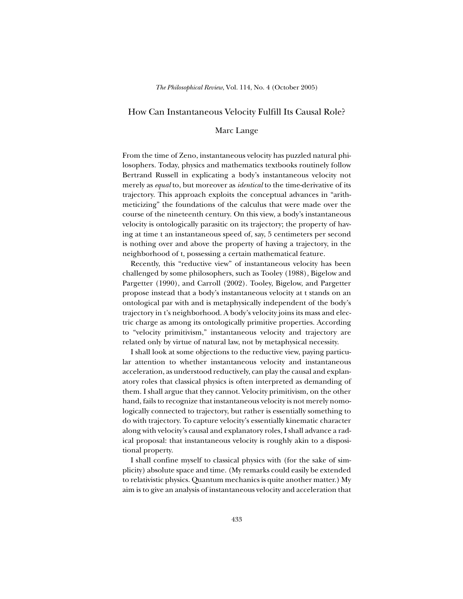### *The Philosophical Review*, Vol. 114, No. 4 (October 2005)

# How Can Instantaneous Velocity Fulfill Its Causal Role?

# Marc Lange

From the time of Zeno, instantaneous velocity has puzzled natural philosophers. Today, physics and mathematics textbooks routinely follow Bertrand Russell in explicating a body's instantaneous velocity not merely as *equal* to, but moreover as *identical* to the time-derivative of its trajectory. This approach exploits the conceptual advances in "arithmeticizing" the foundations of the calculus that were made over the course of the nineteenth century. On this view, a body's instantaneous velocity is ontologically parasitic on its trajectory; the property of having at time t an instantaneous speed of, say, 5 centimeters per second is nothing over and above the property of having a trajectory, in the neighborhood of t, possessing a certain mathematical feature.

Recently, this "reductive view" of instantaneous velocity has been challenged by some philosophers, such as Tooley (1988), Bigelow and Pargetter (1990), and Carroll (2002). Tooley, Bigelow, and Pargetter propose instead that a body's instantaneous velocity at t stands on an ontological par with and is metaphysically independent of the body's trajectory in t's neighborhood. A body's velocity joins its mass and electric charge as among its ontologically primitive properties. According to "velocity primitivism," instantaneous velocity and trajectory are related only by virtue of natural law, not by metaphysical necessity.

I shall look at some objections to the reductive view, paying particular attention to whether instantaneous velocity and instantaneous acceleration, as understood reductively, can play the causal and explanatory roles that classical physics is often interpreted as demanding of them. I shall argue that they cannot. Velocity primitivism, on the other hand, fails to recognize that instantaneous velocity is not merely nomologically connected to trajectory, but rather is essentially something to do with trajectory. To capture velocity's essentially kinematic character along with velocity's causal and explanatory roles, I shall advance a radical proposal: that instantaneous velocity is roughly akin to a dispositional property.

I shall confine myself to classical physics with (for the sake of simplicity) absolute space and time. (My remarks could easily be extended to relativistic physics. Quantum mechanics is quite another matter.) My aim is to give an analysis of instantaneous velocity and acceleration that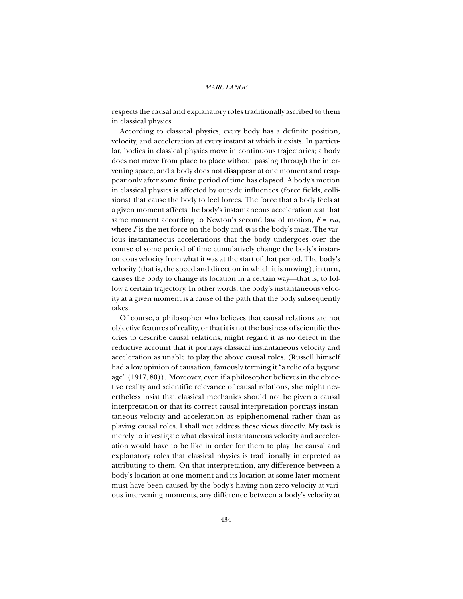respects the causal and explanatory roles traditionally ascribed to them in classical physics.

According to classical physics, every body has a definite position, velocity, and acceleration at every instant at which it exists. In particular, bodies in classical physics move in continuous trajectories; a body does not move from place to place without passing through the intervening space, and a body does not disappear at one moment and reappear only after some finite period of time has elapsed. A body's motion in classical physics is affected by outside influences (force fields, collisions) that cause the body to feel forces. The force that a body feels at a given moment affects the body's instantaneous acceleration *a* at that same moment according to Newton's second law of motion, *F* = *ma*, where *F* is the net force on the body and *m* is the body's mass. The various instantaneous accelerations that the body undergoes over the course of some period of time cumulatively change the body's instantaneous velocity from what it was at the start of that period. The body's velocity (that is, the speed and direction in which it is moving), in turn, causes the body to change its location in a certain way—that is, to follow a certain trajectory. In other words, the body's instantaneous velocity at a given moment is a cause of the path that the body subsequently takes.

Of course, a philosopher who believes that causal relations are not objective features of reality, or that it is not the business of scientific theories to describe causal relations, might regard it as no defect in the reductive account that it portrays classical instantaneous velocity and acceleration as unable to play the above causal roles. (Russell himself had a low opinion of causation, famously terming it "a relic of a bygone age" (1917, 80)). Moreover, even if a philosopher believes in the objective reality and scientific relevance of causal relations, she might nevertheless insist that classical mechanics should not be given a causal interpretation or that its correct causal interpretation portrays instantaneous velocity and acceleration as epiphenomenal rather than as playing causal roles. I shall not address these views directly. My task is merely to investigate what classical instantaneous velocity and acceleration would have to be like in order for them to play the causal and explanatory roles that classical physics is traditionally interpreted as attributing to them. On that interpretation, any difference between a body's location at one moment and its location at some later moment must have been caused by the body's having non-zero velocity at various intervening moments, any difference between a body's velocity at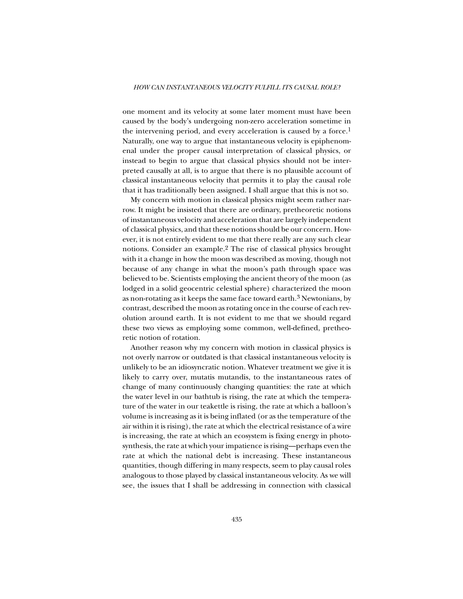one moment and its velocity at some later moment must have been caused by the body's undergoing non-zero acceleration sometime in the intervening period, and every acceleration is caused by a force.<sup>1</sup> Naturally, one way to argue that instantaneous velocity is epiphenomenal under the proper causal interpretation of classical physics, or instead to begin to argue that classical physics should not be interpreted causally at all, is to argue that there is no plausible account of classical instantaneous velocity that permits it to play the causal role that it has traditionally been assigned. I shall argue that this is not so.

My concern with motion in classical physics might seem rather narrow. It might be insisted that there are ordinary, pretheoretic notions of instantaneous velocity and acceleration that are largely independent of classical physics, and that these notions should be our concern. However, it is not entirely evident to me that there really are any such clear notions. Consider an example.2 The rise of classical physics brought with it a change in how the moon was described as moving, though not because of any change in what the moon's path through space was believed to be. Scientists employing the ancient theory of the moon (as lodged in a solid geocentric celestial sphere) characterized the moon as non-rotating as it keeps the same face toward earth.3 Newtonians, by contrast, described the moon as rotating once in the course of each revolution around earth. It is not evident to me that we should regard these two views as employing some common, well-defined, pretheoretic notion of rotation.

Another reason why my concern with motion in classical physics is not overly narrow or outdated is that classical instantaneous velocity is unlikely to be an idiosyncratic notion. Whatever treatment we give it is likely to carry over, mutatis mutandis, to the instantaneous rates of change of many continuously changing quantities: the rate at which the water level in our bathtub is rising, the rate at which the temperature of the water in our teakettle is rising, the rate at which a balloon's volume is increasing as it is being inflated (or as the temperature of the air within it is rising), the rate at which the electrical resistance of a wire is increasing, the rate at which an ecosystem is fixing energy in photosynthesis, the rate at which your impatience is rising—perhaps even the rate at which the national debt is increasing. These instantaneous quantities, though differing in many respects, seem to play causal roles analogous to those played by classical instantaneous velocity. As we will see, the issues that I shall be addressing in connection with classical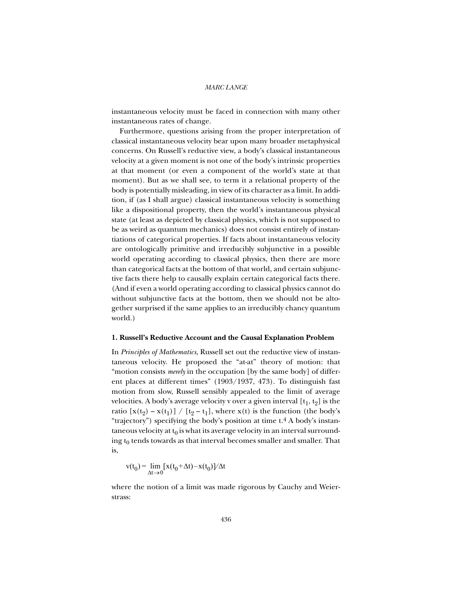instantaneous velocity must be faced in connection with many other instantaneous rates of change.

Furthermore, questions arising from the proper interpretation of classical instantaneous velocity bear upon many broader metaphysical concerns. On Russell's reductive view, a body's classical instantaneous velocity at a given moment is not one of the body's intrinsic properties at that moment (or even a component of the world's state at that moment). But as we shall see, to term it a relational property of the body is potentially misleading, in view of its character as a limit. In addition, if (as I shall argue) classical instantaneous velocity is something like a dispositional property, then the world's instantaneous physical state (at least as depicted by classical physics, which is not supposed to be as weird as quantum mechanics) does not consist entirely of instantiations of categorical properties. If facts about instantaneous velocity are ontologically primitive and irreducibly subjunctive in a possible world operating according to classical physics, then there are more than categorical facts at the bottom of that world, and certain subjunctive facts there help to causally explain certain categorical facts there. (And if even a world operating according to classical physics cannot do without subjunctive facts at the bottom, then we should not be altogether surprised if the same applies to an irreducibly chancy quantum world.)

#### **1. Russell's Reductive Account and the Causal Explanation Problem**

In *Principles of Mathematics*, Russell set out the reductive view of instantaneous velocity. He proposed the "at-at" theory of motion: that "motion consists *merely* in the occupation [by the same body] of different places at different times" (1903/1937, 473). To distinguish fast motion from slow, Russell sensibly appealed to the limit of average velocities. A body's average velocity v over a given interval  $[t_1, t_2]$  is the ratio  $[x(t_2) - x(t_1)] / [t_2 - t_1]$ , where  $x(t)$  is the function (the body's "trajectory") specifying the body's position at time t.4 A body's instantaneous velocity at  $t_0$  is what its average velocity in an interval surrounding  $t_0$  tends towards as that interval becomes smaller and smaller. That is,

$$
v(t_0) = \lim_{\Delta t \to 0} [x(t_0 + \Delta t) - x(t_0)] / \Delta t
$$

where the notion of a limit was made rigorous by Cauchy and Weierstrass: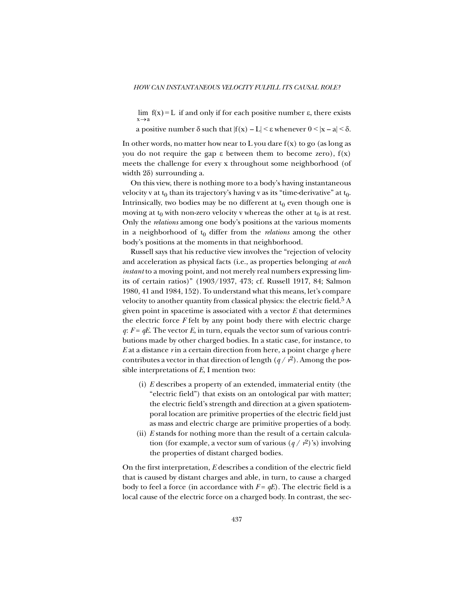lim  $f(x) = L$  if and only if for each positive number  $\varepsilon$ , there exists  $x \rightarrow a$ 

a positive number  $\delta$  such that  $|f(x) - L| \leq \varepsilon$  whenever  $0 \leq |x - a| \leq \delta$ .

In other words, no matter how near to L you dare  $f(x)$  to go (as long as you do not require the gap ε between them to become zero), f(x) meets the challenge for every x throughout some neighborhood (of width 2δ) surrounding a.

On this view, there is nothing more to a body's having instantaneous velocity v at  $t_0$  than its trajectory's having v as its "time-derivative" at  $t_0$ . Intrinsically, two bodies may be no different at  $t_0$  even though one is moving at  $t_0$  with non-zero velocity v whereas the other at  $t_0$  is at rest. Only the *relations* among one body's positions at the various moments in a neighborhood of  $t_0$  differ from the *relations* among the other body's positions at the moments in that neighborhood.

Russell says that his reductive view involves the "rejection of velocity and acceleration as physical facts (i.e., as properties belonging *at each instant* to a moving point, and not merely real numbers expressing limits of certain ratios)" (1903/1937, 473; cf. Russell 1917, 84; Salmon 1980, 41 and 1984, 152). To understand what this means, let's compare velocity to another quantity from classical physics: the electric field.5 A given point in spacetime is associated with a vector *E* that determines the electric force *F* felt by any point body there with electric charge  $q: F = qE$ . The vector  $E$ , in turn, equals the vector sum of various contributions made by other charged bodies. In a static case, for instance, to *E* at a distance *r* in a certain direction from here, a point charge *q* here contributes a vector in that direction of length  $(q / r^2)$ . Among the possible interpretations of *E*, I mention two:

- (i) *E* describes a property of an extended, immaterial entity (the "electric field") that exists on an ontological par with matter; the electric field's strength and direction at a given spatiotemporal location are primitive properties of the electric field just as mass and electric charge are primitive properties of a body.
- (ii) *E* stands for nothing more than the result of a certain calculation (for example, a vector sum of various  $(q / r^2)$ 's) involving the properties of distant charged bodies.

On the first interpretation, *E* describes a condition of the electric field that is caused by distant charges and able, in turn, to cause a charged body to feel a force (in accordance with  $F = qE$ ). The electric field is a local cause of the electric force on a charged body. In contrast, the sec-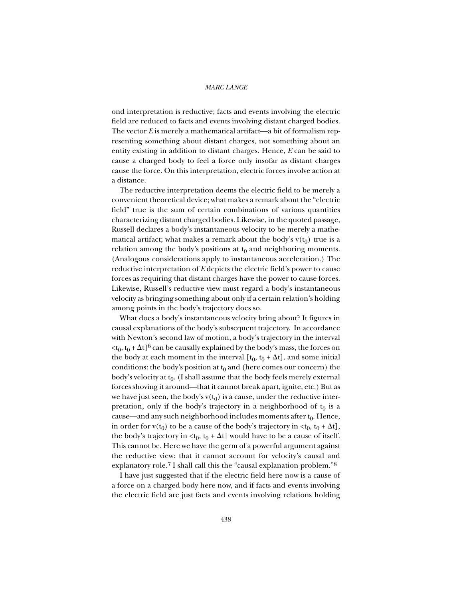ond interpretation is reductive; facts and events involving the electric field are reduced to facts and events involving distant charged bodies. The vector *E* is merely a mathematical artifact—a bit of formalism representing something about distant charges, not something about an entity existing in addition to distant charges. Hence, *E* can be said to cause a charged body to feel a force only insofar as distant charges cause the force. On this interpretation, electric forces involve action at a distance.

The reductive interpretation deems the electric field to be merely a convenient theoretical device; what makes a remark about the "electric field" true is the sum of certain combinations of various quantities characterizing distant charged bodies. Likewise, in the quoted passage, Russell declares a body's instantaneous velocity to be merely a mathematical artifact; what makes a remark about the body's  $v(t_0)$  true is a relation among the body's positions at  $t_0$  and neighboring moments. (Analogous considerations apply to instantaneous acceleration.) The reductive interpretation of *E* depicts the electric field's power to cause forces as requiring that distant charges have the power to cause forces. Likewise, Russell's reductive view must regard a body's instantaneous velocity as bringing something about only if a certain relation's holding among points in the body's trajectory does so.

What does a body's instantaneous velocity bring about? It figures in causal explanations of the body's subsequent trajectory. In accordance with Newton's second law of motion, a body's trajectory in the interval  $(t_0, t_0 + \Delta t]^6$  can be causally explained by the body's mass, the forces on the body at each moment in the interval  $[t_0, t_0 + \Delta t]$ , and some initial conditions: the body's position at  $t_0$  and (here comes our concern) the body's velocity at  $t_0$ . (I shall assume that the body feels merely external forces shoving it around—that it cannot break apart, ignite, etc.) But as we have just seen, the body's  $v(t_0)$  is a cause, under the reductive interpretation, only if the body's trajectory in a neighborhood of  $t_0$  is a cause—and any such neighborhood includes moments after  $t_0$ . Hence, in order for  $v(t_0)$  to be a cause of the body's trajectory in  $\langle t_0, t_0 + \Delta t \rangle$ , the body's trajectory in  $,  $t_0 + \Delta t$ ] would have to be a cause of itself.$ This cannot be. Here we have the germ of a powerful argument against the reductive view: that it cannot account for velocity's causal and explanatory role.<sup>7</sup> I shall call this the "causal explanation problem."<sup>8</sup>

I have just suggested that if the electric field here now is a cause of a force on a charged body here now, and if facts and events involving the electric field are just facts and events involving relations holding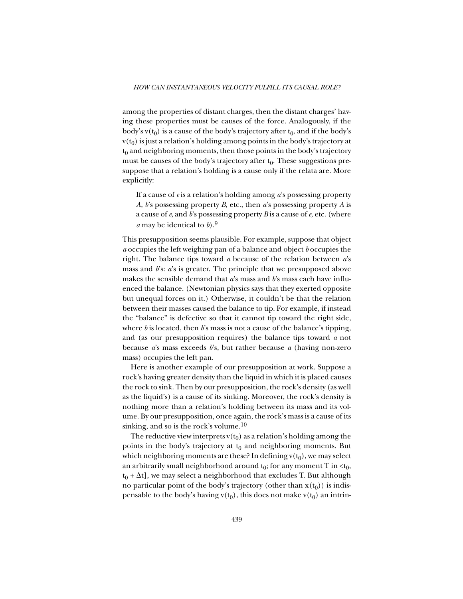among the properties of distant charges, then the distant charges' having these properties must be causes of the force. Analogously, if the body's  $v(t_0)$  is a cause of the body's trajectory after  $t_0$ , and if the body's  $v(t_0)$  is just a relation's holding among points in the body's trajectory at  $t_0$  and neighboring moments, then those points in the body's trajectory must be causes of the body's trajectory after  $t_0$ . These suggestions presuppose that a relation's holding is a cause only if the relata are. More explicitly:

If a cause of *e* is a relation's holding among *a*'s possessing property *A*, *b*'s possessing property *B*, etc., then *a*'s possessing property *A* is a cause of *e*, and *b*'s possessing property *B* is a cause of *e*, etc. (where *a* may be identical to *b*).9

This presupposition seems plausible. For example, suppose that object *a* occupies the left weighing pan of a balance and object *b* occupies the right. The balance tips toward *a* because of the relation between *a*'s mass and *b*'s: *a*'s is greater. The principle that we presupposed above makes the sensible demand that *a*'s mass and *b*'s mass each have influenced the balance. (Newtonian physics says that they exerted opposite but unequal forces on it.) Otherwise, it couldn't be that the relation between their masses caused the balance to tip. For example, if instead the "balance" is defective so that it cannot tip toward the right side, where *b* is located, then *b*'s mass is not a cause of the balance's tipping, and (as our presupposition requires) the balance tips toward *a* not because *a*'s mass exceeds *b*'s, but rather because *a* (having non-zero mass) occupies the left pan.

Here is another example of our presupposition at work. Suppose a rock's having greater density than the liquid in which it is placed causes the rock to sink. Then by our presupposition, the rock's density (as well as the liquid's) is a cause of its sinking. Moreover, the rock's density is nothing more than a relation's holding between its mass and its volume. By our presupposition, once again, the rock's mass is a cause of its sinking, and so is the rock's volume.<sup>10</sup>

The reductive view interprets  $v(t_0)$  as a relation's holding among the points in the body's trajectory at  $t_0$  and neighboring moments. But which neighboring moments are these? In defining  $v(t_0)$ , we may select an arbitrarily small neighborhood around  $t_0$ ; for any moment T in <t<sub>0</sub>,  $t_0 + \Delta t$ , we may select a neighborhood that excludes T. But although no particular point of the body's trajectory (other than  $x(t_0)$ ) is indispensable to the body's having  $v(t_0)$ , this does not make  $v(t_0)$  an intrin-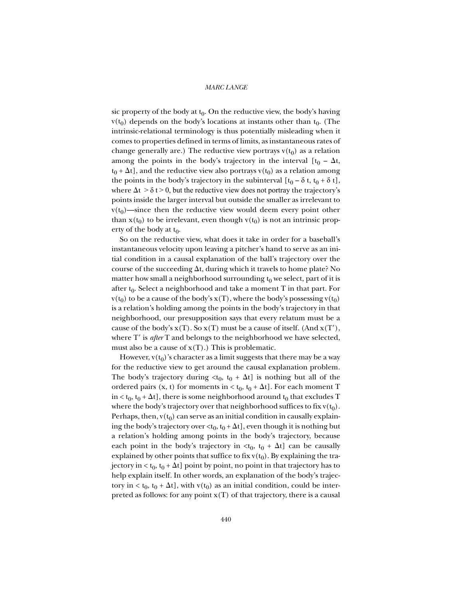sic property of the body at  $t_0$ . On the reductive view, the body's having  $v(t_0)$  depends on the body's locations at instants other than  $t_0$ . (The intrinsic-relational terminology is thus potentially misleading when it comes to properties defined in terms of limits, as instantaneous rates of change generally are.) The reductive view portrays  $v(t_0)$  as a relation among the points in the body's trajectory in the interval  $[t_0 - \Delta t,$  $t_0 + \Delta t$ , and the reductive view also portrays  $v(t_0)$  as a relation among the points in the body's trajectory in the subinterval  $[t_0 - \delta t, t_0 + \delta t]$ , where  $\Delta t > \delta t$  > 0, but the reductive view does not portray the trajectory's points inside the larger interval but outside the smaller as irrelevant to  $v(t_0)$ —since then the reductive view would deem every point other than  $x(t_0)$  to be irrelevant, even though  $v(t_0)$  is not an intrinsic property of the body at  $t_0$ .

So on the reductive view, what does it take in order for a baseball's instantaneous velocity upon leaving a pitcher's hand to serve as an initial condition in a causal explanation of the ball's trajectory over the course of the succeeding  $\Delta t$ , during which it travels to home plate? No matter how small a neighborhood surrounding  $t_0$  we select, part of it is after  $t_0$ . Select a neighborhood and take a moment T in that part. For  $v(t_0)$  to be a cause of the body's  $x(T)$ , where the body's possessing  $v(t_0)$ is a relation's holding among the points in the body's trajectory in that neighborhood, our presupposition says that every relatum must be a cause of the body's  $x(T)$ . So  $x(T)$  must be a cause of itself. (And  $x(T')$ , where T' is *after* T and belongs to the neighborhood we have selected, must also be a cause of  $x(T)$ .) This is problematic.

However,  $v(t_0)$ 's character as a limit suggests that there may be a way for the reductive view to get around the causal explanation problem. The body's trajectory during  $\langle t_0, t_0 + \Delta t \rangle$  is nothing but all of the ordered pairs (x, t) for moments in <  $t_0$ ,  $t_0 + \Delta t$ ]. For each moment T in <  $t_0$ ,  $t_0$  +  $\Delta t$ ], there is some neighborhood around  $t_0$  that excludes T where the body's trajectory over that neighborhood suffices to fix  $v(t_0)$ . Perhaps, then,  $v(t_0)$  can serve as an initial condition in causally explaining the body's trajectory over  $\lt t_0$ ,  $t_0 + \Delta t$ , even though it is nothing but a relation's holding among points in the body's trajectory, because each point in the body's trajectory in  $,  $t_0 + \Delta t$ ] can be causally$ explained by other points that suffice to fix  $v(t_0)$ . By explaining the trajectory in  $< t_0$ ,  $t_0 + \Delta t$ ] point by point, no point in that trajectory has to help explain itself. In other words, an explanation of the body's trajectory in < t<sub>0</sub>, t<sub>0</sub> +  $\Delta t$ ], with v(t<sub>0</sub>) as an initial condition, could be interpreted as follows: for any point  $x(T)$  of that trajectory, there is a causal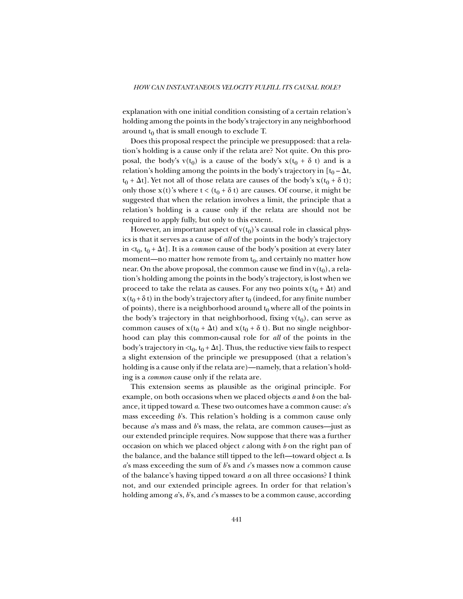explanation with one initial condition consisting of a certain relation's holding among the points in the body's trajectory in any neighborhood around  $t_0$  that is small enough to exclude T.

Does this proposal respect the principle we presupposed: that a relation's holding is a cause only if the relata are? Not quite. On this proposal, the body's  $v(t_0)$  is a cause of the body's  $x(t_0 + \delta t)$  and is a relation's holding among the points in the body's trajectory in  $[t_0 - \Delta t,$  $t_0 + \Delta t$ . Yet not all of those relata are causes of the body's  $x(t_0 + \delta t)$ ; only those  $x(t)$ 's where  $t < (t_0 + \delta t)$  are causes. Of course, it might be suggested that when the relation involves a limit, the principle that a relation's holding is a cause only if the relata are should not be required to apply fully, but only to this extent.

However, an important aspect of  $v(t_0)$ 's causal role in classical physics is that it serves as a cause of *all* of the points in the body's trajectory in  $,  $t_0 + \Delta t$ . It is a *common* cause of the body's position at every later$ moment—no matter how remote from  $t_0$ , and certainly no matter how near. On the above proposal, the common cause we find in  $v(t_0)$ , a relation's holding among the points in the body's trajectory, is lost when we proceed to take the relata as causes. For any two points  $x(t_0 + \Delta t)$  and  $x(t_0 + \delta t)$  in the body's trajectory after  $t_0$  (indeed, for any finite number of points), there is a neighborhood around  $t_0$  where all of the points in the body's trajectory in that neighborhood, fixing  $v(t_0)$ , can serve as common causes of  $x(t_0 + \Delta t)$  and  $x(t_0 + \delta t)$ . But no single neighborhood can play this common-causal role for *all* of the points in the body's trajectory in  $,  $t_0 + \Delta t$ . Thus, the reductive view fails to respect$ a slight extension of the principle we presupposed (that a relation's holding is a cause only if the relata are)—namely, that a relation's holding is a *common* cause only if the relata are.

This extension seems as plausible as the original principle. For example, on both occasions when we placed objects *a* and *b* on the balance, it tipped toward *a*. These two outcomes have a common cause: *a*'s mass exceeding *b*'s. This relation's holding is a common cause only because *a*'s mass and *b*'s mass, the relata, are common causes—just as our extended principle requires. Now suppose that there was a further occasion on which we placed object *c* along with *b* on the right pan of the balance, and the balance still tipped to the left—toward object *a*. Is *a*'s mass exceeding the sum of *b*'s and *c*'s masses now a common cause of the balance's having tipped toward *a* on all three occasions? I think not, and our extended principle agrees. In order for that relation's holding among *a*'s, *b*'s, and *c*'s masses to be a common cause, according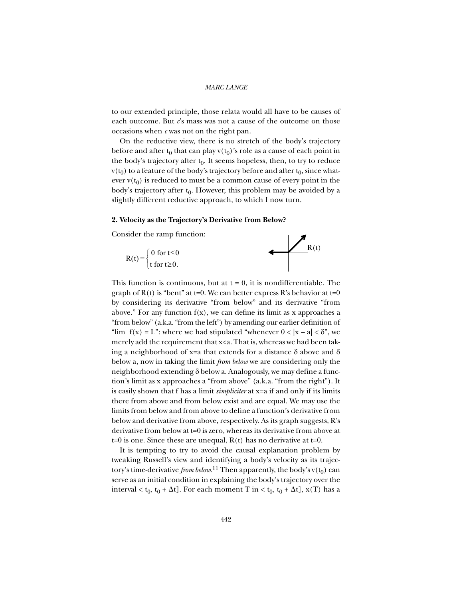to our extended principle, those relata would all have to be causes of each outcome. But *c*'s mass was not a cause of the outcome on those occasions when *c* was not on the right pan.

On the reductive view, there is no stretch of the body's trajectory before and after  $t_0$  that can play  $v(t_0)$ 's role as a cause of each point in the body's trajectory after  $t_0$ . It seems hopeless, then, to try to reduce  $v(t_0)$  to a feature of the body's trajectory before and after  $t_0$ , since whatever  $v(t_0)$  is reduced to must be a common cause of every point in the body's trajectory after  $t_0$ . However, this problem may be avoided by a slightly different reductive approach, to which I now turn.

# **2. Velocity as the Trajectory's Derivative from Below?**

Consider the ramp function:



This function is continuous, but at  $t = 0$ , it is nondifferentiable. The graph of  $R(t)$  is "bent" at t=0. We can better express R's behavior at t=0 by considering its derivative "from below" and its derivative "from above." For any function  $f(x)$ , we can define its limit as x approaches a "from below" (a.k.a. "from the left") by amending our earlier definition of "lim  $f(x) = L$ ": where we had stipulated "whenever  $0 < |x - a| < \delta$ ", we merely add the requirement that x<a. That is, whereas we had been taking a neighborhood of x=a that extends for a distance δ above and δ below a, now in taking the limit *from below* we are considering only the neighborhood extending δ below a. Analogously, we may define a function's limit as x approaches a "from above" (a.k.a. "from the right"). It is easily shown that f has a limit *simpliciter* at x=a if and only if its limits there from above and from below exist and are equal. We may use the limits from below and from above to define a function's derivative from below and derivative from above, respectively. As its graph suggests, R's derivative from below at t=0 is zero, whereas its derivative from above at  $t=0$  is one. Since these are unequal,  $R(t)$  has no derivative at  $t=0$ .

It is tempting to try to avoid the causal explanation problem by tweaking Russell's view and identifying a body's velocity as its trajectory's time-derivative *from below*.<sup>11</sup> Then apparently, the body's  $v(t_0)$  can serve as an initial condition in explaining the body's trajectory over the interval < t<sub>0</sub>, t<sub>0</sub> +  $\Delta t$ ]. For each moment T in < t<sub>0</sub>, t<sub>0</sub> +  $\Delta t$ ], x(T) has a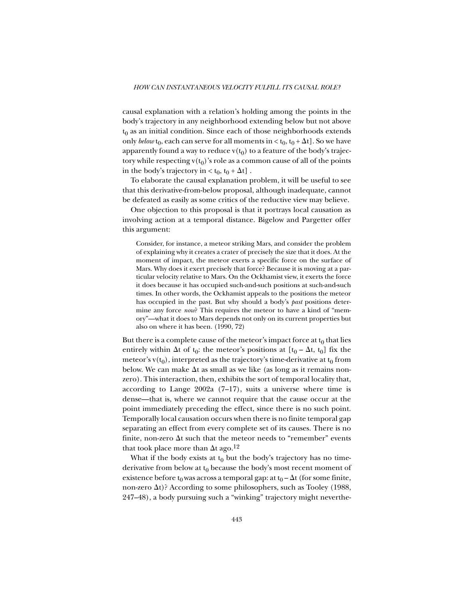causal explanation with a relation's holding among the points in the body's trajectory in any neighborhood extending below but not above  $t_0$  as an initial condition. Since each of those neighborhoods extends only *below*  $t_0$ , each can serve for all moments in  $< t_0$ ,  $t_0 + \Delta t$ . So we have apparently found a way to reduce  $v(t_0)$  to a feature of the body's trajectory while respecting  $v(t_0)$ 's role as a common cause of all of the points in the body's trajectory in  $< t_0, t_0 + \Delta t$ .

To elaborate the causal explanation problem, it will be useful to see that this derivative-from-below proposal, although inadequate, cannot be defeated as easily as some critics of the reductive view may believe.

One objection to this proposal is that it portrays local causation as involving action at a temporal distance. Bigelow and Pargetter offer this argument:

Consider, for instance, a meteor striking Mars, and consider the problem of explaining why it creates a crater of precisely the size that it does. At the moment of impact, the meteor exerts a specific force on the surface of Mars. Why does it exert precisely that force? Because it is moving at a particular velocity relative to Mars. On the Ockhamist view, it exerts the force it does because it has occupied such-and-such positions at such-and-such times. In other words, the Ockhamist appeals to the positions the meteor has occupied in the past. But why should a body's *past* positions determine any force *now*? This requires the meteor to have a kind of "memory"—what it does to Mars depends not only on its current properties but also on where it has been. (1990, 72)

But there is a complete cause of the meteor's impact force at  $t_0$  that lies entirely within  $\Delta t$  of t<sub>0</sub>: the meteor's positions at  $[t_0 - \Delta t, t_0]$  fix the meteor's  $v(t_0)$ , interpreted as the trajectory's time-derivative at  $t_0$  from below. We can make  $\Delta t$  as small as we like (as long as it remains nonzero). This interaction, then, exhibits the sort of temporal locality that, according to Lange  $2002a$   $(7-17)$ , suits a universe where time is dense—that is, where we cannot require that the cause occur at the point immediately preceding the effect, since there is no such point. Temporally local causation occurs when there is no finite temporal gap separating an effect from every complete set of its causes. There is no finite, non-zero  $\Delta t$  such that the meteor needs to "remember" events that took place more than  $\Delta t$  ago.<sup>12</sup>

What if the body exists at  $t_0$  but the body's trajectory has no timederivative from below at  $t_0$  because the body's most recent moment of existence before t<sub>0</sub> was across a temporal gap: at t<sub>0</sub> –  $\Delta t$  (for some finite, non-zero  $\Delta t$ )? According to some philosophers, such as Tooley (1988, 247–48), a body pursuing such a "winking" trajectory might neverthe-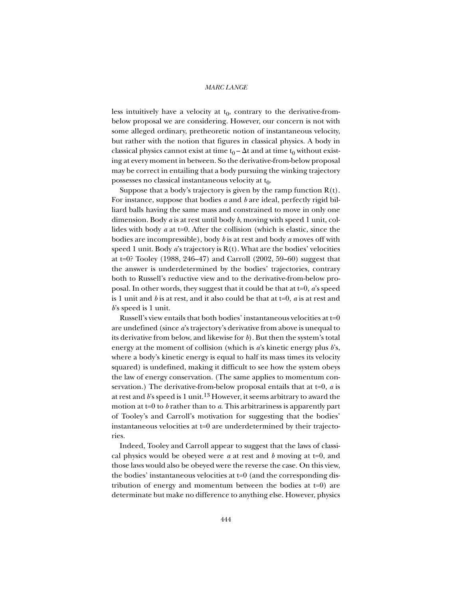less intuitively have a velocity at  $t_0$ , contrary to the derivative-frombelow proposal we are considering. However, our concern is not with some alleged ordinary, pretheoretic notion of instantaneous velocity, but rather with the notion that figures in classical physics. A body in classical physics cannot exist at time  $t_0$  –  $\Delta t$  and at time  $t_0$  without existing at every moment in between. So the derivative-from-below proposal may be correct in entailing that a body pursuing the winking trajectory possesses no classical instantaneous velocity at  $t_0$ .

Suppose that a body's trajectory is given by the ramp function  $R(t)$ . For instance, suppose that bodies *a* and *b* are ideal, perfectly rigid billiard balls having the same mass and constrained to move in only one dimension. Body *a* is at rest until body *b*, moving with speed 1 unit, collides with body *a* at t=0. After the collision (which is elastic, since the bodies are incompressible), body *b* is at rest and body *a* moves off with speed 1 unit. Body *a*'s trajectory is R(t). What are the bodies' velocities at t=0? Tooley (1988, 246–47) and Carroll (2002, 59–60) suggest that the answer is underdetermined by the bodies' trajectories, contrary both to Russell's reductive view and to the derivative-from-below proposal. In other words, they suggest that it could be that at t=0, *a*'s speed is 1 unit and *b* is at rest, and it also could be that at t=0, *a* is at rest and *b*'s speed is 1 unit.

Russell's view entails that both bodies' instantaneous velocities at t=0 are undefined (since *a*'s trajectory's derivative from above is unequal to its derivative from below, and likewise for *b*). But then the system's total energy at the moment of collision (which is *a*'s kinetic energy plus *b*'s, where a body's kinetic energy is equal to half its mass times its velocity squared) is undefined, making it difficult to see how the system obeys the law of energy conservation. (The same applies to momentum conservation.) The derivative-from-below proposal entails that at t=0, *a* is at rest and *b*'s speed is 1 unit.13 However, it seems arbitrary to award the motion at t=0 to *b* rather than to *a*. This arbitrariness is apparently part of Tooley's and Carroll's motivation for suggesting that the bodies' instantaneous velocities at t=0 are underdetermined by their trajectories.

Indeed, Tooley and Carroll appear to suggest that the laws of classical physics would be obeyed were *a* at rest and *b* moving at t=0, and those laws would also be obeyed were the reverse the case. On this view, the bodies' instantaneous velocities at  $t=0$  (and the corresponding distribution of energy and momentum between the bodies at t=0) are determinate but make no difference to anything else. However, physics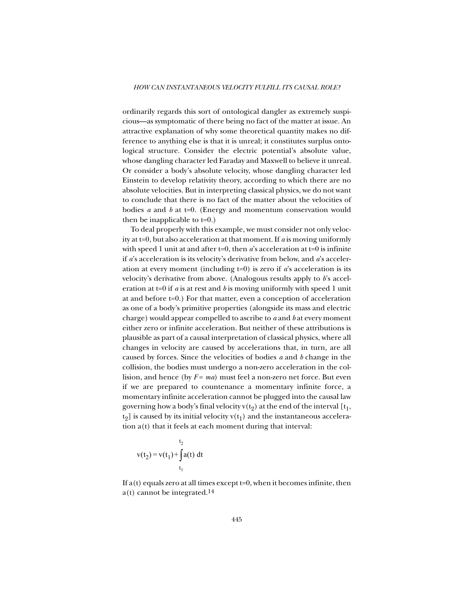ordinarily regards this sort of ontological dangler as extremely suspicious—as symptomatic of there being no fact of the matter at issue. An attractive explanation of why some theoretical quantity makes no difference to anything else is that it is unreal; it constitutes surplus ontological structure. Consider the electric potential's absolute value, whose dangling character led Faraday and Maxwell to believe it unreal. Or consider a body's absolute velocity, whose dangling character led Einstein to develop relativity theory, according to which there are no absolute velocities. But in interpreting classical physics, we do not want to conclude that there is no fact of the matter about the velocities of bodies *a* and *b* at t=0. (Energy and momentum conservation would then be inapplicable to  $t=0$ .)

To deal properly with this example, we must consider not only velocity at t=0, but also acceleration at that moment. If *a* is moving uniformly with speed 1 unit at and after t=0, then *a*'s acceleration at t=0 is infinite if *a*'s acceleration is its velocity's derivative from below, and *a*'s acceleration at every moment (including t=0) is zero if *a*'s acceleration is its velocity's derivative from above. (Analogous results apply to *b*'s acceleration at t=0 if *a* is at rest and *b* is moving uniformly with speed 1 unit at and before t=0.) For that matter, even a conception of acceleration as one of a body's primitive properties (alongside its mass and electric charge) would appear compelled to ascribe to *a* and *b* at every moment either zero or infinite acceleration. But neither of these attributions is plausible as part of a causal interpretation of classical physics, where all changes in velocity are caused by accelerations that, in turn, are all caused by forces. Since the velocities of bodies *a* and *b* change in the collision, the bodies must undergo a non-zero acceleration in the collision, and hence (by  $F = ma$ ) must feel a non-zero net force. But even if we are prepared to countenance a momentary infinite force, a momentary infinite acceleration cannot be plugged into the causal law governing how a body's final velocity  $v(t_2)$  at the end of the interval [t<sub>1</sub>,  $t<sub>9</sub>$ ] is caused by its initial velocity v( $t<sub>1</sub>$ ) and the instantaneous acceleration a(t) that it feels at each moment during that interval:

$$
v(t_2) = v(t_1) + \int_{t_1}^{t_2} a(t) dt
$$

If  $a(t)$  equals zero at all times except  $t=0$ , when it becomes infinite, then a(t) cannot be integrated.14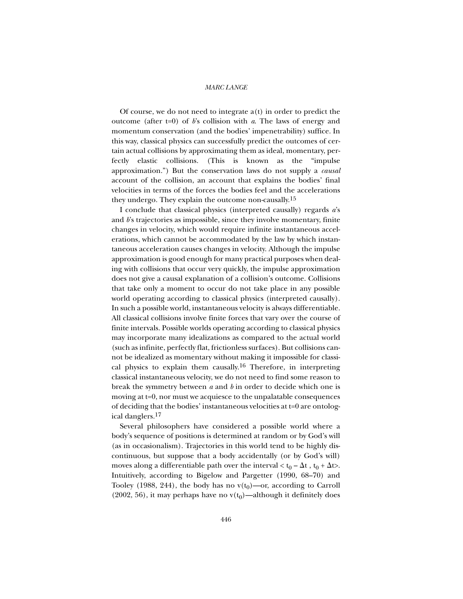Of course, we do not need to integrate  $a(t)$  in order to predict the outcome (after t=0) of *b*'s collision with *a*. The laws of energy and momentum conservation (and the bodies' impenetrability) suffice. In this way, classical physics can successfully predict the outcomes of certain actual collisions by approximating them as ideal, momentary, perfectly elastic collisions. (This is known as the "impulse approximation.") But the conservation laws do not supply a *causal* account of the collision, an account that explains the bodies' final velocities in terms of the forces the bodies feel and the accelerations they undergo. They explain the outcome non-causally.15

I conclude that classical physics (interpreted causally) regards *a*'s and *b*'s trajectories as impossible, since they involve momentary, finite changes in velocity, which would require infinite instantaneous accelerations, which cannot be accommodated by the law by which instantaneous acceleration causes changes in velocity. Although the impulse approximation is good enough for many practical purposes when dealing with collisions that occur very quickly, the impulse approximation does not give a causal explanation of a collision's outcome. Collisions that take only a moment to occur do not take place in any possible world operating according to classical physics (interpreted causally). In such a possible world, instantaneous velocity is always differentiable. All classical collisions involve finite forces that vary over the course of finite intervals. Possible worlds operating according to classical physics may incorporate many idealizations as compared to the actual world (such as infinite, perfectly flat, frictionless surfaces). But collisions cannot be idealized as momentary without making it impossible for classical physics to explain them causally.16 Therefore, in interpreting classical instantaneous velocity, we do not need to find some reason to break the symmetry between *a* and *b* in order to decide which one is moving at t=0, nor must we acquiesce to the unpalatable consequences of deciding that the bodies' instantaneous velocities at t=0 are ontological danglers.17

Several philosophers have considered a possible world where a body's sequence of positions is determined at random or by God's will (as in occasionalism). Trajectories in this world tend to be highly discontinuous, but suppose that a body accidentally (or by God's will) moves along a differentiable path over the interval  $< t_0 - \Delta t$ ,  $t_0 + \Delta t$ . Intuitively, according to Bigelow and Pargetter (1990, 68–70) and Tooley (1988, 244), the body has no  $v(t_0)$ —or, according to Carroll (2002, 56), it may perhaps have no  $v(t_0)$ —although it definitely does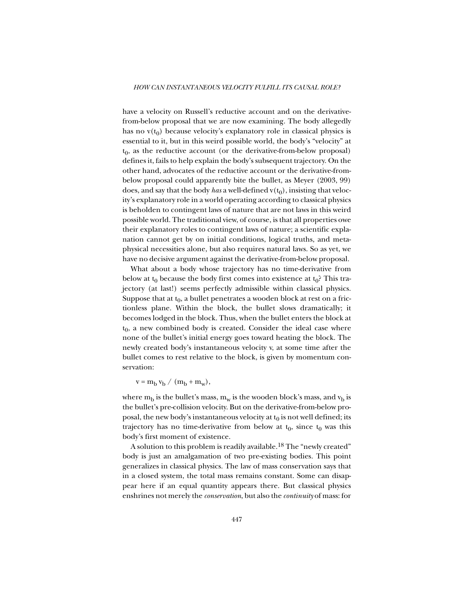have a velocity on Russell's reductive account and on the derivativefrom-below proposal that we are now examining. The body allegedly has no  $v(t_0)$  because velocity's explanatory role in classical physics is essential to it, but in this weird possible world, the body's "velocity" at  $t_0$ , as the reductive account (or the derivative-from-below proposal) defines it, fails to help explain the body's subsequent trajectory. On the other hand, advocates of the reductive account or the derivative-frombelow proposal could apparently bite the bullet, as Meyer (2003, 99) does, and say that the body *has* a well-defined  $v(t_0)$ , insisting that velocity's explanatory role in a world operating according to classical physics is beholden to contingent laws of nature that are not laws in this weird possible world. The traditional view, of course, is that all properties owe their explanatory roles to contingent laws of nature; a scientific explanation cannot get by on initial conditions, logical truths, and metaphysical necessities alone, but also requires natural laws. So as yet, we have no decisive argument against the derivative-from-below proposal.

What about a body whose trajectory has no time-derivative from below at  $t_0$  because the body first comes into existence at  $t_0$ ? This trajectory (at last!) seems perfectly admissible within classical physics. Suppose that at  $t_0$ , a bullet penetrates a wooden block at rest on a frictionless plane. Within the block, the bullet slows dramatically; it becomes lodged in the block. Thus, when the bullet enters the block at  $t_0$ , a new combined body is created. Consider the ideal case where none of the bullet's initial energy goes toward heating the block. The newly created body's instantaneous velocity v, at some time after the bullet comes to rest relative to the block, is given by momentum conservation:

 $v = m_b v_b / (m_b + m_w),$ 

where  $m_b$  is the bullet's mass,  $m_w$  is the wooden block's mass, and  $v_b$  is the bullet's pre-collision velocity. But on the derivative-from-below proposal, the new body's instantaneous velocity at  $t_0$  is not well defined; its trajectory has no time-derivative from below at  $t_0$ , since  $t_0$  was this body's first moment of existence.

A solution to this problem is readily available.18 The "newly created" body is just an amalgamation of two pre-existing bodies. This point generalizes in classical physics. The law of mass conservation says that in a closed system, the total mass remains constant. Some can disappear here if an equal quantity appears there. But classical physics enshrines not merely the *conservation*, but also the *continuity* of mass: for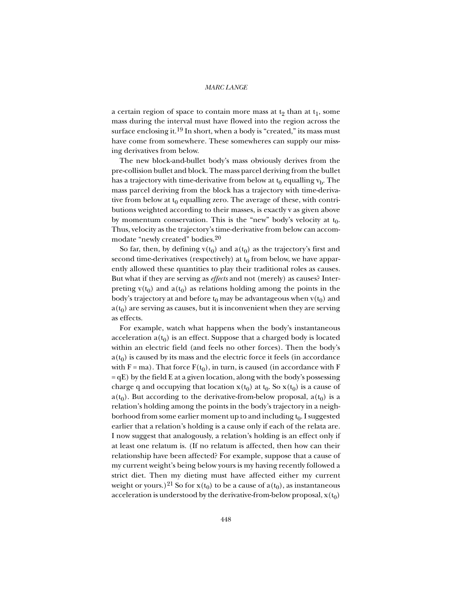a certain region of space to contain more mass at  $t_2$  than at  $t_1$ , some mass during the interval must have flowed into the region across the surface enclosing it.<sup>19</sup> In short, when a body is "created," its mass must have come from somewhere. These somewheres can supply our missing derivatives from below.

The new block-and-bullet body's mass obviously derives from the pre-collision bullet and block. The mass parcel deriving from the bullet has a trajectory with time-derivative from below at  $t_0$  equalling  $v_b$ . The mass parcel deriving from the block has a trajectory with time-derivative from below at  $t_0$  equalling zero. The average of these, with contributions weighted according to their masses, is exactly v as given above by momentum conservation. This is the "new" body's velocity at  $t_0$ . Thus, velocity as the trajectory's time-derivative from below can accommodate "newly created" bodies.20

So far, then, by defining  $v(t_0)$  and  $a(t_0)$  as the trajectory's first and second time-derivatives (respectively) at  $t_0$  from below, we have apparently allowed these quantities to play their traditional roles as causes. But what if they are serving as *effects* and not (merely) as causes? Interpreting  $v(t_0)$  and  $a(t_0)$  as relations holding among the points in the body's trajectory at and before  $t_0$  may be advantageous when  $v(t_0)$  and  $a(t_0)$  are serving as causes, but it is inconvenient when they are serving as effects.

For example, watch what happens when the body's instantaneous acceleration  $a(t_0)$  is an effect. Suppose that a charged body is located within an electric field (and feels no other forces). Then the body's  $a(t_0)$  is caused by its mass and the electric force it feels (in accordance with  $F = ma$ ). That force  $F(t_0)$ , in turn, is caused (in accordance with F  $=$  qE) by the field E at a given location, along with the body's possessing charge q and occupying that location  $x(t_0)$  at  $t_0$ . So  $x(t_0)$  is a cause of  $a(t_0)$ . But according to the derivative-from-below proposal,  $a(t_0)$  is a relation's holding among the points in the body's trajectory in a neighborhood from some earlier moment up to and including  $t_0$ . I suggested earlier that a relation's holding is a cause only if each of the relata are. I now suggest that analogously, a relation's holding is an effect only if at least one relatum is. (If no relatum is affected, then how can their relationship have been affected? For example, suppose that a cause of my current weight's being below yours is my having recently followed a strict diet. Then my dieting must have affected either my current weight or yours.)<sup>21</sup> So for  $x(t_0)$  to be a cause of  $a(t_0)$ , as instantaneous acceleration is understood by the derivative-from-below proposal,  $x(t_0)$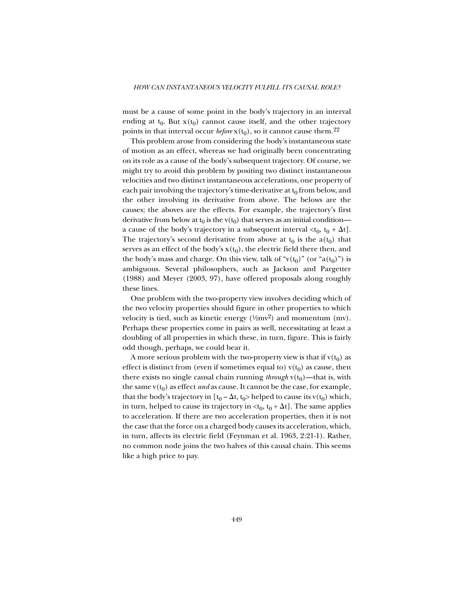must be a cause of some point in the body's trajectory in an interval ending at  $t_0$ . But  $x(t_0)$  cannot cause itself, and the other trajectory points in that interval occur *before*  $x(t_0)$ , so it cannot cause them.<sup>22</sup>

This problem arose from considering the body's instantaneous state of motion as an effect, whereas we had originally been concentrating on its role as a cause of the body's subsequent trajectory. Of course, we might try to avoid this problem by positing two distinct instantaneous velocities and two distinct instantaneous accelerations, one property of each pair involving the trajectory's time-derivative at  $t_0$  from below, and the other involving its derivative from above. The belows are the causes; the aboves are the effects. For example, the trajectory's first derivative from below at  $t_0$  is the v( $t_0$ ) that serves as an initial condition a cause of the body's trajectory in a subsequent interval  $\langle t_0, t_0 + \Delta t \rangle$ . The trajectory's second derivative from above at  $t_0$  is the  $a(t_0)$  that serves as an effect of the body's  $x(t_0)$ , the electric field there then, and the body's mass and charge. On this view, talk of " $v(t_0)$ " (or " $a(t_0)$ ") is ambiguous. Several philosophers, such as Jackson and Pargetter (1988) and Meyer (2003, 97), have offered proposals along roughly these lines.

One problem with the two-property view involves deciding which of the two velocity properties should figure in other properties to which velocity is tied, such as kinetic energy  $(\frac{1}{2}mv^2)$  and momentum (mv). Perhaps these properties come in pairs as well, necessitating at least a doubling of all properties in which these, in turn, figure. This is fairly odd though, perhaps, we could bear it.

A more serious problem with the two-property view is that if  $v(t_0)$  as effect is distinct from (even if sometimes equal to)  $v(t_0)$  as cause, then there exists no single causal chain running *through*  $v(t_0)$ —that is, with the same  $v(t_0)$  as effect *and* as cause. It cannot be the case, for example, that the body's trajectory in  $[t_0 - \Delta t, t_0 > h$ elped to cause its v( $t_0$ ) which, in turn, helped to cause its trajectory in  $\langle t_0, t_0 + \Delta t \rangle$ . The same applies to acceleration. If there are two acceleration properties, then it is not the case that the force on a charged body causes its acceleration, which, in turn, affects its electric field (Feynman et al. 1963, 2:21-1). Rather, no common node joins the two halves of this causal chain. This seems like a high price to pay.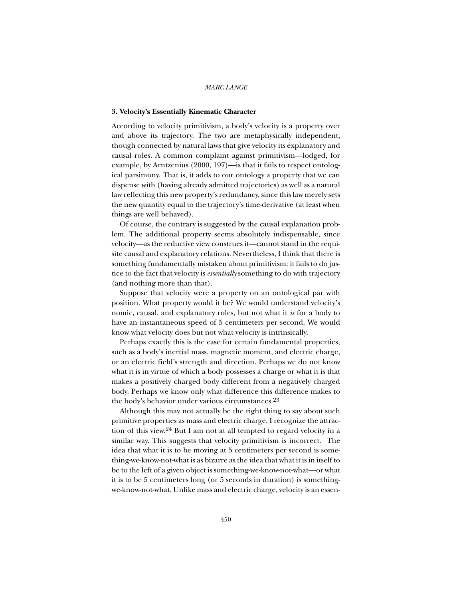## **3. Velocity's Essentially Kinematic Character**

According to velocity primitivism, a body's velocity is a property over and above its trajectory. The two are metaphysically independent, though connected by natural laws that give velocity its explanatory and causal roles. A common complaint against primitivism—lodged, for example, by Arntzenius (2000, 197)—is that it fails to respect ontological parsimony. That is, it adds to our ontology a property that we can dispense with (having already admitted trajectories) as well as a natural law reflecting this new property's redundancy, since this law merely sets the new quantity equal to the trajectory's time-derivative (at least when things are well behaved).

Of course, the contrary is suggested by the causal explanation problem. The additional property seems absolutely indispensable, since velocity—as the reductive view construes it—cannot stand in the requisite causal and explanatory relations. Nevertheless, I think that there is something fundamentally mistaken about primitivism: it fails to do justice to the fact that velocity is *essentially* something to do with trajectory (and nothing more than that).

Suppose that velocity were a property on an ontological par with position. What property would it be? We would understand velocity's nomic, causal, and explanatory roles, but not what it *is* for a body to have an instantaneous speed of 5 centimeters per second. We would know what velocity does but not what velocity is intrinsically.

Perhaps exactly this is the case for certain fundamental properties, such as a body's inertial mass, magnetic moment, and electric charge, or an electric field's strength and direction. Perhaps we do not know what it is in virtue of which a body possesses a charge or what it is that makes a positively charged body different from a negatively charged body. Perhaps we know only what difference this difference makes to the body's behavior under various circumstances.23

Although this may not actually be the right thing to say about such primitive properties as mass and electric charge, I recognize the attraction of this view.24 But I am not at all tempted to regard velocity in a similar way. This suggests that velocity primitivism is incorrect. The idea that what it is to be moving at 5 centimeters per second is something-we-know-not-what is as bizarre as the idea that what it is in itself to be to the left of a given object is something-we-know-not-what—or what it is to be 5 centimeters long (or 5 seconds in duration) is somethingwe-know-not-what. Unlike mass and electric charge, velocity is an essen-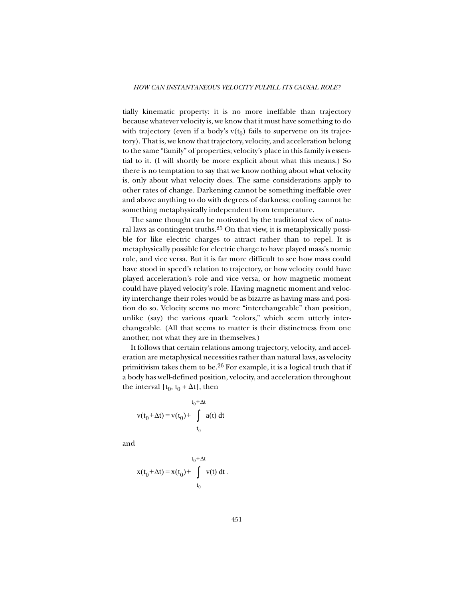tially kinematic property: it is no more ineffable than trajectory because whatever velocity is, we know that it must have something to do with trajectory (even if a body's  $v(t_0)$  fails to supervene on its trajectory). That is, we know that trajectory, velocity, and acceleration belong to the same "family" of properties; velocity's place in this family is essential to it. (I will shortly be more explicit about what this means.) So there is no temptation to say that we know nothing about what velocity is, only about what velocity does. The same considerations apply to other rates of change. Darkening cannot be something ineffable over and above anything to do with degrees of darkness; cooling cannot be something metaphysically independent from temperature.

The same thought can be motivated by the traditional view of natural laws as contingent truths.25 On that view, it is metaphysically possible for like electric charges to attract rather than to repel. It is metaphysically possible for electric charge to have played mass's nomic role, and vice versa. But it is far more difficult to see how mass could have stood in speed's relation to trajectory, or how velocity could have played acceleration's role and vice versa, or how magnetic moment could have played velocity's role. Having magnetic moment and velocity interchange their roles would be as bizarre as having mass and position do so. Velocity seems no more "interchangeable" than position, unlike (say) the various quark "colors," which seem utterly interchangeable. (All that seems to matter is their distinctness from one another, not what they are in themselves.)

It follows that certain relations among trajectory, velocity, and acceleration are metaphysical necessities rather than natural laws, as velocity primitivism takes them to be.<sup>26</sup> For example, it is a logical truth that if a body has well-defined position, velocity, and acceleration throughout the interval  $[t_0, t_0 + \Delta t]$ , then

$$
v(t_0 + \Delta t) = v(t_0) + \int_{t_0}^{t_0 + \Delta t} a(t) dt
$$

and

$$
x(t_0 + \Delta t) = x(t_0) + \int_{t_0}^{t_0 + \Delta t} v(t) dt.
$$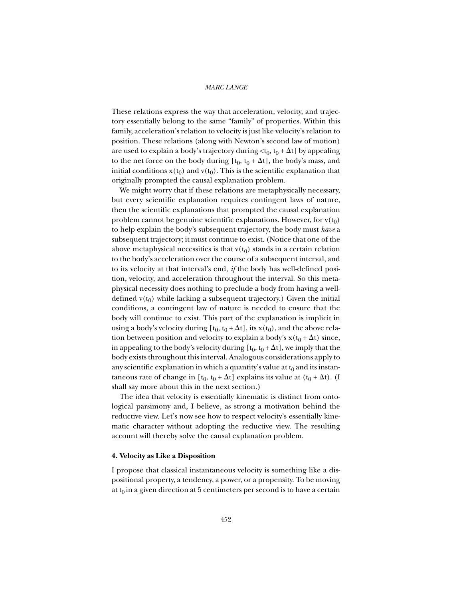These relations express the way that acceleration, velocity, and trajectory essentially belong to the same "family" of properties. Within this family, acceleration's relation to velocity is just like velocity's relation to position. These relations (along with Newton's second law of motion) are used to explain a body's trajectory during  $\langle t_0, t_0 + \Delta t \rangle$  by appealing to the net force on the body during  $[t_0, t_0 + \Delta t]$ , the body's mass, and initial conditions  $x(t_0)$  and  $v(t_0)$ . This is the scientific explanation that originally prompted the causal explanation problem.

We might worry that if these relations are metaphysically necessary, but every scientific explanation requires contingent laws of nature, then the scientific explanations that prompted the causal explanation problem cannot be genuine scientific explanations. However, for  $v(t_0)$ to help explain the body's subsequent trajectory, the body must *have* a subsequent trajectory; it must continue to exist. (Notice that one of the above metaphysical necessities is that  $v(t_0)$  stands in a certain relation to the body's acceleration over the course of a subsequent interval, and to its velocity at that interval's end, *if* the body has well-defined position, velocity, and acceleration throughout the interval. So this metaphysical necessity does nothing to preclude a body from having a welldefined  $v(t_0)$  while lacking a subsequent trajectory.) Given the initial conditions, a contingent law of nature is needed to ensure that the body will continue to exist. This part of the explanation is implicit in using a body's velocity during  $[t_0, t_0 + \Delta t]$ , its  $x(t_0)$ , and the above relation between position and velocity to explain a body's  $x(t_0 + \Delta t)$  since, in appealing to the body's velocity during  $[t_0, t_0 + \Delta t]$ , we imply that the body exists throughout this interval. Analogous considerations apply to any scientific explanation in which a quantity's value at  $t_0$  and its instantaneous rate of change in [t<sub>0</sub>, t<sub>0</sub> +  $\Delta t$ ] explains its value at (t<sub>0</sub> +  $\Delta t$ ). (I shall say more about this in the next section.)

The idea that velocity is essentially kinematic is distinct from ontological parsimony and, I believe, as strong a motivation behind the reductive view. Let's now see how to respect velocity's essentially kinematic character without adopting the reductive view. The resulting account will thereby solve the causal explanation problem.

### **4. Velocity as Like a Disposition**

I propose that classical instantaneous velocity is something like a dispositional property, a tendency, a power, or a propensity. To be moving at  $t_0$  in a given direction at 5 centimeters per second is to have a certain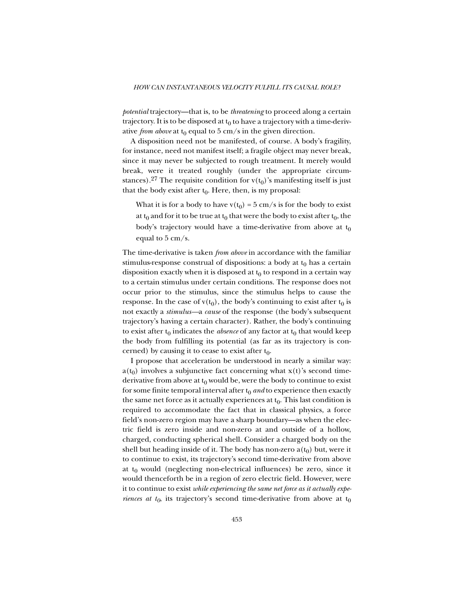*potential* trajectory—that is, to be *threatening* to proceed along a certain trajectory. It is to be disposed at  $t_0$  to have a trajectory with a time-derivative *from above* at  $t_0$  equal to 5 cm/s in the given direction.

A disposition need not be manifested, of course. A body's fragility, for instance, need not manifest itself; a fragile object may never break, since it may never be subjected to rough treatment. It merely would break, were it treated roughly (under the appropriate circumstances).<sup>27</sup> The requisite condition for  $v(t_0)$ 's manifesting itself is just that the body exist after  $t_0$ . Here, then, is my proposal:

What it is for a body to have  $v(t_0) = 5$  cm/s is for the body to exist at  $t_0$  and for it to be true at  $t_0$  that were the body to exist after  $t_0$ , the body's trajectory would have a time-derivative from above at  $t_0$ equal to  $5 \text{ cm/s}$ .

The time-derivative is taken *from above* in accordance with the familiar stimulus-response construal of dispositions: a body at  $t_0$  has a certain disposition exactly when it is disposed at  $t_0$  to respond in a certain way to a certain stimulus under certain conditions. The response does not occur prior to the stimulus, since the stimulus helps to cause the response. In the case of  $v(t_0)$ , the body's continuing to exist after  $t_0$  is not exactly a *stimulus—*a *cause* of the response (the body's subsequent trajectory's having a certain character). Rather, the body's continuing to exist after  $t_0$  indicates the *absence* of any factor at  $t_0$  that would keep the body from fulfilling its potential (as far as its trajectory is concerned) by causing it to cease to exist after  $t_0$ .

I propose that acceleration be understood in nearly a similar way:  $a(t_0)$  involves a subjunctive fact concerning what  $x(t)$ 's second timederivative from above at  $t_0$  would be, were the body to continue to exist for some finite temporal interval after  $t_0$  *and* to experience then exactly the same net force as it actually experiences at  $t_0$ . This last condition is required to accommodate the fact that in classical physics, a force field's non-zero region may have a sharp boundary—as when the electric field is zero inside and non-zero at and outside of a hollow, charged, conducting spherical shell. Consider a charged body on the shell but heading inside of it. The body has non-zero  $a(t_0)$  but, were it to continue to exist, its trajectory's second time-derivative from above at  $t_0$  would (neglecting non-electrical influences) be zero, since it would thenceforth be in a region of zero electric field. However, were it to continue to exist *while experiencing the same net force as it actually experiences at*  $t_0$  its trajectory's second time-derivative from above at  $t_0$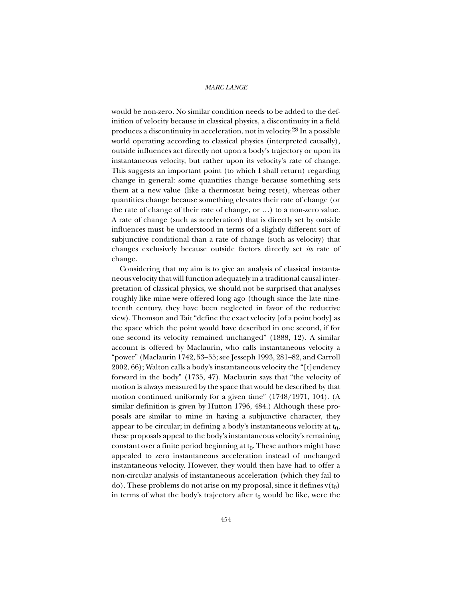would be non-zero. No similar condition needs to be added to the definition of velocity because in classical physics, a discontinuity in a field produces a discontinuity in acceleration, not in velocity.28 In a possible world operating according to classical physics (interpreted causally), outside influences act directly not upon a body's trajectory or upon its instantaneous velocity, but rather upon its velocity's rate of change. This suggests an important point (to which I shall return) regarding change in general: some quantities change because something sets them at a new value (like a thermostat being reset), whereas other quantities change because something elevates their rate of change (or the rate of change of their rate of change, or …) to a non-zero value. A rate of change (such as acceleration) that is directly set by outside influences must be understood in terms of a slightly different sort of subjunctive conditional than a rate of change (such as velocity) that changes exclusively because outside factors directly set *its* rate of change.

Considering that my aim is to give an analysis of classical instantaneous velocity that will function adequately in a traditional causal interpretation of classical physics, we should not be surprised that analyses roughly like mine were offered long ago (though since the late nineteenth century, they have been neglected in favor of the reductive view). Thomson and Tait "define the exact velocity [of a point body] as the space which the point would have described in one second, if for one second its velocity remained unchanged" (1888, 12). A similar account is offered by Maclaurin, who calls instantaneous velocity a "power" (Maclaurin 1742, 53–55; see Jesseph 1993, 281–82, and Carroll 2002, 66); Walton calls a body's instantaneous velocity the "[t]endency forward in the body" (1735, 47). Maclaurin says that "the velocity of motion is always measured by the space that would be described by that motion continued uniformly for a given time" (1748/1971, 104). (A similar definition is given by Hutton 1796, 484.) Although these proposals are similar to mine in having a subjunctive character, they appear to be circular; in defining a body's instantaneous velocity at  $t_0$ , these proposals appeal to the body's instantaneous velocity's remaining constant over a finite period beginning at  $t_0$ . These authors might have appealed to zero instantaneous acceleration instead of unchanged instantaneous velocity. However, they would then have had to offer a non-circular analysis of instantaneous acceleration (which they fail to do). These problems do not arise on my proposal, since it defines  $v(t_0)$ in terms of what the body's trajectory after  $t_0$  would be like, were the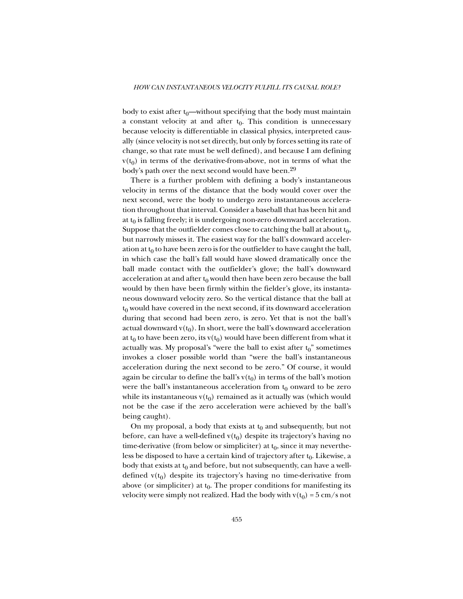body to exist after  $t_0$ —without specifying that the body must maintain a constant velocity at and after  $t_0$ . This condition is unnecessary because velocity is differentiable in classical physics, interpreted causally (since velocity is not set directly, but only by forces setting its rate of change, so that rate must be well defined), and because I am defining  $v(t_0)$  in terms of the derivative-from-above, not in terms of what the body's path over the next second would have been.29

There is a further problem with defining a body's instantaneous velocity in terms of the distance that the body would cover over the next second, were the body to undergo zero instantaneous acceleration throughout that interval. Consider a baseball that has been hit and at  $t_0$  is falling freely; it is undergoing non-zero downward acceleration. Suppose that the outfielder comes close to catching the ball at about  $t_0$ , but narrowly misses it. The easiest way for the ball's downward acceleration at  $t_0$  to have been zero is for the outfielder to have caught the ball, in which case the ball's fall would have slowed dramatically once the ball made contact with the outfielder's glove; the ball's downward acceleration at and after  $t_0$  would then have been zero because the ball would by then have been firmly within the fielder's glove, its instantaneous downward velocity zero. So the vertical distance that the ball at  $t_0$  would have covered in the next second, if its downward acceleration during that second had been zero, is zero. Yet that is not the ball's actual downward  $v(t_0)$ . In short, were the ball's downward acceleration at t<sub>0</sub> to have been zero, its v( $t_0$ ) would have been different from what it actually was. My proposal's "were the ball to exist after  $t_0$ " sometimes invokes a closer possible world than "were the ball's instantaneous acceleration during the next second to be zero." Of course, it would again be circular to define the ball's  $v(t_0)$  in terms of the ball's motion were the ball's instantaneous acceleration from  $t_0$  onward to be zero while its instantaneous  $v(t_0)$  remained as it actually was (which would not be the case if the zero acceleration were achieved by the ball's being caught).

On my proposal, a body that exists at  $t_0$  and subsequently, but not before, can have a well-defined  $v(t_0)$  despite its trajectory's having no time-derivative (from below or simpliciter) at  $t_0$ , since it may nevertheless be disposed to have a certain kind of trajectory after  $t_0$ . Likewise, a body that exists at  $t_0$  and before, but not subsequently, can have a welldefined  $v(t_0)$  despite its trajectory's having no time-derivative from above (or simpliciter) at  $t_0$ . The proper conditions for manifesting its velocity were simply not realized. Had the body with  $v(t_0) = 5$  cm/s not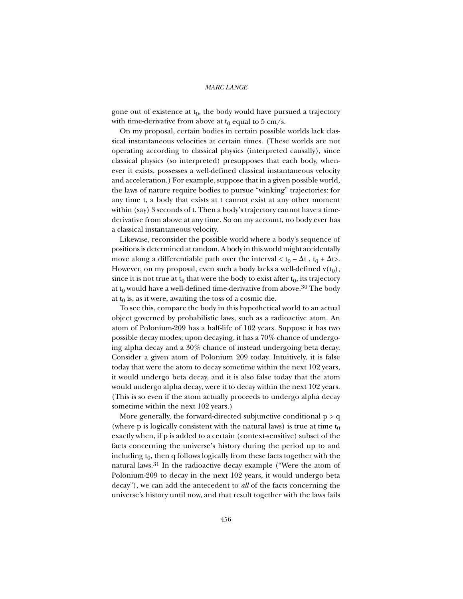gone out of existence at  $t_0$ , the body would have pursued a trajectory with time-derivative from above at  $t_0$  equal to 5 cm/s.

On my proposal, certain bodies in certain possible worlds lack classical instantaneous velocities at certain times. (These worlds are not operating according to classical physics (interpreted causally), since classical physics (so interpreted) presupposes that each body, whenever it exists, possesses a well-defined classical instantaneous velocity and acceleration.) For example, suppose that in a given possible world, the laws of nature require bodies to pursue "winking" trajectories: for any time t, a body that exists at t cannot exist at any other moment within (say) 3 seconds of t. Then a body's trajectory cannot have a timederivative from above at any time. So on my account, no body ever has a classical instantaneous velocity.

Likewise, reconsider the possible world where a body's sequence of positions is determined at random. A body in this world might accidentally move along a differentiable path over the interval  $\langle t_0 - \Delta t, t_0 + \Delta t \rangle$ . However, on my proposal, even such a body lacks a well-defined  $v(t_0)$ , since it is not true at  $t_0$  that were the body to exist after  $t_0$ , its trajectory at  $t_0$  would have a well-defined time-derivative from above.<sup>30</sup> The body at  $t_0$  is, as it were, awaiting the toss of a cosmic die.

To see this, compare the body in this hypothetical world to an actual object governed by probabilistic laws, such as a radioactive atom. An atom of Polonium-209 has a half-life of 102 years. Suppose it has two possible decay modes; upon decaying, it has a 70% chance of undergoing alpha decay and a 30% chance of instead undergoing beta decay. Consider a given atom of Polonium 209 today. Intuitively, it is false today that were the atom to decay sometime within the next 102 years, it would undergo beta decay, and it is also false today that the atom would undergo alpha decay, were it to decay within the next 102 years. (This is so even if the atom actually proceeds to undergo alpha decay sometime within the next 102 years.)

More generally, the forward-directed subjunctive conditional  $p > q$ (where p is logically consistent with the natural laws) is true at time  $t_0$ exactly when, if p is added to a certain (context-sensitive) subset of the facts concerning the universe's history during the period up to and including  $t_0$ , then q follows logically from these facts together with the natural laws.31 In the radioactive decay example ("Were the atom of Polonium-209 to decay in the next 102 years, it would undergo beta decay"), we can add the antecedent to *all* of the facts concerning the universe's history until now, and that result together with the laws fails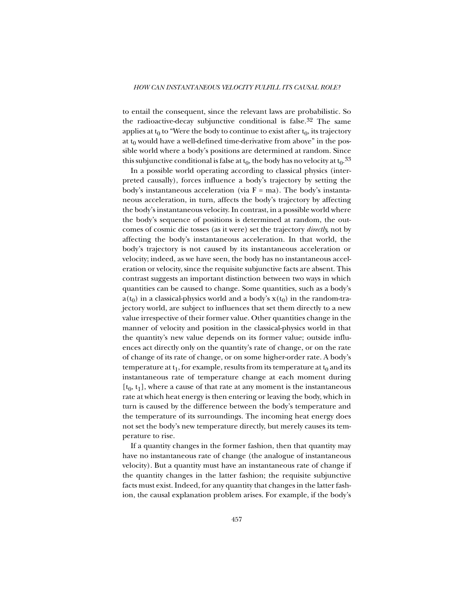to entail the consequent, since the relevant laws are probabilistic. So the radioactive-decay subjunctive conditional is false.32 The same applies at  $t_0$  to "Were the body to continue to exist after  $t_0$ , its trajectory at  $t_0$  would have a well-defined time-derivative from above" in the possible world where a body's positions are determined at random. Since this subjunctive conditional is false at  $t_0$ , the body has no velocity at  $t_0$ .<sup>33</sup>

In a possible world operating according to classical physics (interpreted causally), forces influence a body's trajectory by setting the body's instantaneous acceleration (via  $F = ma$ ). The body's instantaneous acceleration, in turn, affects the body's trajectory by affecting the body's instantaneous velocity. In contrast, in a possible world where the body's sequence of positions is determined at random, the outcomes of cosmic die tosses (as it were) set the trajectory *directly*, not by affecting the body's instantaneous acceleration. In that world, the body's trajectory is not caused by its instantaneous acceleration or velocity; indeed, as we have seen, the body has no instantaneous acceleration or velocity, since the requisite subjunctive facts are absent. This contrast suggests an important distinction between two ways in which quantities can be caused to change. Some quantities, such as a body's  $a(t_0)$  in a classical-physics world and a body's  $x(t_0)$  in the random-trajectory world, are subject to influences that set them directly to a new value irrespective of their former value. Other quantities change in the manner of velocity and position in the classical-physics world in that the quantity's new value depends on its former value; outside influences act directly only on the quantity's rate of change, or on the rate of change of its rate of change, or on some higher-order rate. A body's temperature at  $t_1$ , for example, results from its temperature at  $t_0$  and its instantaneous rate of temperature change at each moment during  $[t_0, t_1]$ , where a cause of that rate at any moment is the instantaneous rate at which heat energy is then entering or leaving the body, which in turn is caused by the difference between the body's temperature and the temperature of its surroundings. The incoming heat energy does not set the body's new temperature directly, but merely causes its temperature to rise.

If a quantity changes in the former fashion, then that quantity may have no instantaneous rate of change (the analogue of instantaneous velocity). But a quantity must have an instantaneous rate of change if the quantity changes in the latter fashion; the requisite subjunctive facts must exist. Indeed, for any quantity that changes in the latter fashion, the causal explanation problem arises. For example, if the body's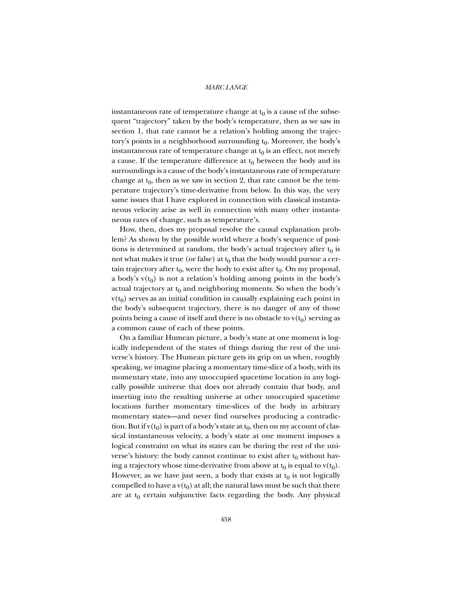instantaneous rate of temperature change at  $t_0$  is a cause of the subsequent "trajectory" taken by the body's temperature, then as we saw in section 1, that rate cannot be a relation's holding among the trajectory's points in a neighborhood surrounding  $t_0$ . Moreover, the body's instantaneous rate of temperature change at  $t_0$  is an effect, not merely a cause. If the temperature difference at  $t_0$  between the body and its surroundings is a cause of the body's instantaneous rate of temperature change at  $t_0$ , then as we saw in section 2, that rate cannot be the temperature trajectory's time-derivative from below. In this way, the very same issues that I have explored in connection with classical instantaneous velocity arise as well in connection with many other instantaneous rates of change, such as temperature's.

How, then, does my proposal resolve the causal explanation problem? As shown by the possible world where a body's sequence of positions is determined at random, the body's actual trajectory after  $t_0$  is not what makes it true (or false) at  $t_0$  that the body would pursue a certain trajectory after  $t_0$ , were the body to exist after  $t_0$ . On my proposal, a body's  $v(t_0)$  is not a relation's holding among points in the body's actual trajectory at  $t_0$  and neighboring moments. So when the body's  $v(t_0)$  serves as an initial condition in causally explaining each point in the body's subsequent trajectory, there is no danger of any of those points being a cause of itself and there is no obstacle to  $v(t_0)$  serving as a common cause of each of these points.

On a familiar Humean picture, a body's state at one moment is logically independent of the states of things during the rest of the universe's history. The Humean picture gets its grip on us when, roughly speaking, we imagine placing a momentary time-slice of a body, with its momentary state, into any unoccupied spacetime location in any logically possible universe that does not already contain that body, and inserting into the resulting universe at other unoccupied spacetime locations further momentary time-slices of the body in arbitrary momentary states—and never find ourselves producing a contradiction. But if  $v(t_0)$  is part of a body's state at  $t_0$ , then on my account of classical instantaneous velocity, a body's state at one moment imposes a logical constraint on what its states can be during the rest of the universe's history: the body cannot continue to exist after  $t_0$  without having a trajectory whose time-derivative from above at  $t_0$  is equal to  $v(t_0)$ . However, as we have just seen, a body that exists at  $t_0$  is not logically compelled to have a  $v(t_0)$  at all; the natural laws must be such that there are at  $t_0$  certain subjunctive facts regarding the body. Any physical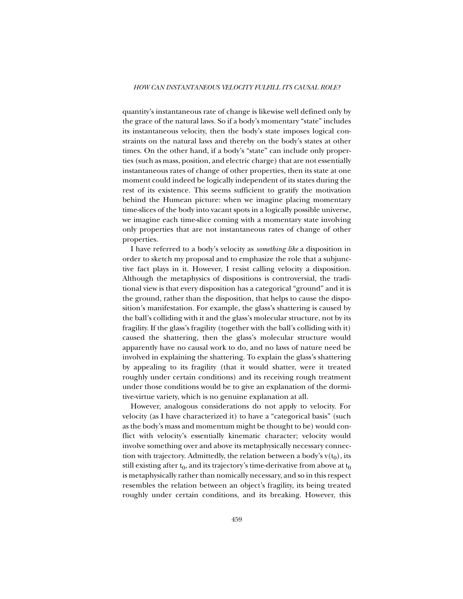quantity's instantaneous rate of change is likewise well defined only by the grace of the natural laws. So if a body's momentary "state" includes its instantaneous velocity, then the body's state imposes logical constraints on the natural laws and thereby on the body's states at other times. On the other hand, if a body's "state" can include only properties (such as mass, position, and electric charge) that are not essentially instantaneous rates of change of other properties, then its state at one moment could indeed be logically independent of its states during the rest of its existence. This seems sufficient to gratify the motivation behind the Humean picture: when we imagine placing momentary time-slices of the body into vacant spots in a logically possible universe, we imagine each time-slice coming with a momentary state involving only properties that are not instantaneous rates of change of other properties.

I have referred to a body's velocity as *something like* a disposition in order to sketch my proposal and to emphasize the role that a subjunctive fact plays in it. However, I resist calling velocity a disposition. Although the metaphysics of dispositions is controversial, the traditional view is that every disposition has a categorical "ground" and it is the ground, rather than the disposition, that helps to cause the disposition's manifestation. For example, the glass's shattering is caused by the ball's colliding with it and the glass's molecular structure, not by its fragility. If the glass's fragility (together with the ball's colliding with it) caused the shattering, then the glass's molecular structure would apparently have no causal work to do, and no laws of nature need be involved in explaining the shattering. To explain the glass's shattering by appealing to its fragility (that it would shatter, were it treated roughly under certain conditions) and its receiving rough treatment under those conditions would be to give an explanation of the dormitive-virtue variety, which is no genuine explanation at all.

However, analogous considerations do not apply to velocity. For velocity (as I have characterized it) to have a "categorical basis" (such as the body's mass and momentum might be thought to be) would conflict with velocity's essentially kinematic character; velocity would involve something over and above its metaphysically necessary connection with trajectory. Admittedly, the relation between a body's  $v(t_0)$ , its still existing after  $t_0$ , and its trajectory's time-derivative from above at  $t_0$ is metaphysically rather than nomically necessary, and so in this respect resembles the relation between an object's fragility, its being treated roughly under certain conditions, and its breaking. However, this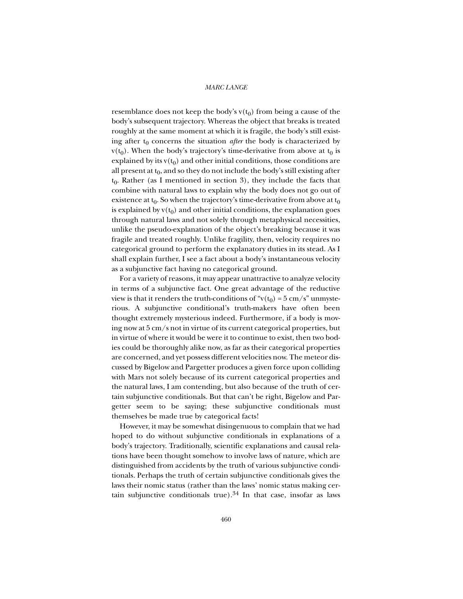resemblance does not keep the body's  $v(t_0)$  from being a cause of the body's subsequent trajectory. Whereas the object that breaks is treated roughly at the same moment at which it is fragile, the body's still existing after  $t_0$  concerns the situation *after* the body is characterized by  $v(t_0)$ . When the body's trajectory's time-derivative from above at  $t_0$  is explained by its  $v(t_0)$  and other initial conditions, those conditions are all present at  $t_0$ , and so they do not include the body's still existing after  $t_0$ . Rather (as I mentioned in section 3), they include the facts that combine with natural laws to explain why the body does not go out of existence at  $t_0$ . So when the trajectory's time-derivative from above at  $t_0$ is explained by  $v(t_0)$  and other initial conditions, the explanation goes through natural laws and not solely through metaphysical necessities, unlike the pseudo-explanation of the object's breaking because it was fragile and treated roughly. Unlike fragility, then, velocity requires no categorical ground to perform the explanatory duties in its stead. As I shall explain further, I see a fact about a body's instantaneous velocity as a subjunctive fact having no categorical ground.

For a variety of reasons, it may appear unattractive to analyze velocity in terms of a subjunctive fact. One great advantage of the reductive view is that it renders the truth-conditions of " $v(t_0) = 5$  cm/s" unmysterious. A subjunctive conditional's truth-makers have often been thought extremely mysterious indeed. Furthermore, if a body is moving now at 5 cm/s not in virtue of its current categorical properties, but in virtue of where it would be were it to continue to exist, then two bodies could be thoroughly alike now, as far as their categorical properties are concerned, and yet possess different velocities now. The meteor discussed by Bigelow and Pargetter produces a given force upon colliding with Mars not solely because of its current categorical properties and the natural laws, I am contending, but also because of the truth of certain subjunctive conditionals. But that can't be right, Bigelow and Pargetter seem to be saying; these subjunctive conditionals must themselves be made true by categorical facts!

However, it may be somewhat disingenuous to complain that we had hoped to do without subjunctive conditionals in explanations of a body's trajectory. Traditionally, scientific explanations and causal relations have been thought somehow to involve laws of nature, which are distinguished from accidents by the truth of various subjunctive conditionals. Perhaps the truth of certain subjunctive conditionals gives the laws their nomic status (rather than the laws' nomic status making certain subjunctive conditionals true). $34$  In that case, insofar as laws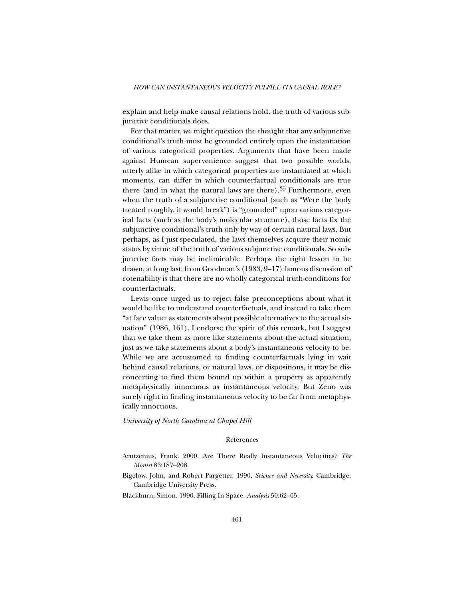explain and help make causal relations hold, the truth of various subjunctive conditionals does.

For that matter, we might question the thought that any subjunctive conditional's truth must be grounded entirely upon the instantiation of various categorical properties. Arguments that have been made against Humean supervenience suggest that two possible worlds, utterly alike in which categorical properties are instantiated at which moments, can differ in which counterfactual conditionals are true there (and in what the natural laws are there).35 Furthermore, even when the truth of a subjunctive conditional (such as "Were the body treated roughly, it would break") is "grounded" upon various categorical facts (such as the body's molecular structure), those facts fix the subjunctive conditional's truth only by way of certain natural laws. But perhaps, as I just speculated, the laws themselves acquire their nomic status by virtue of the truth of various subjunctive conditionals. So subjunctive facts may be ineliminable. Perhaps the right lesson to be drawn, at long last, from Goodman's (1983, 9–17) famous discussion of cotenability is that there are no wholly categorical truth-conditions for counterfactuals.

Lewis once urged us to reject false preconceptions about what it would be like to understand counterfactuals, and instead to take them "at face value: as statements about possible alternatives to the actual situation" (1986, 161). I endorse the spirit of this remark, but I suggest that we take them as more like statements about the actual situation, just as we take statements about a body's instantaneous velocity to be. While we are accustomed to finding counterfactuals lying in wait behind causal relations, or natural laws, or dispositions, it may be disconcerting to find them bound up within a property as apparently metaphysically innocuous as instantaneous velocity. But Zeno was surely right in finding instantaneous velocity to be far from metaphysically innocuous.

### *University of North Carolina at Chapel Hill*

### References

- Arntzenius, Frank. 2000. Are There Really Instantaneous Velocities? *The Monist* 83:187–208.
- Bigelow, John, and Robert Pargetter. 1990. *Science and Necessity*. Cambridge: Cambridge University Press.
- Blackburn, Simon. 1990. Filling In Space. *Analysis* 50:62–65.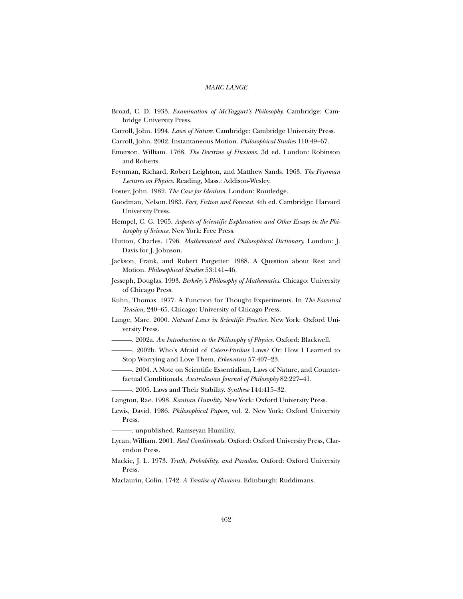- Broad, C. D. 1933. *Examination of McTaggart's Philosophy*. Cambridge: Cambridge University Press.
- Carroll, John. 1994. *Laws of Nature*. Cambridge: Cambridge University Press.
- Carroll, John. 2002. Instantaneous Motion. *Philosophical Studies* 110:49–67.
- Emerson, William. 1768. *The Doctrine of Fluxions*. 3d ed. London: Robinson and Roberts.
- Feynman, Richard, Robert Leighton, and Matthew Sands. 1963. *The Feynman Lectures on Physics*. Reading, Mass.: Addison-Wesley.
- Foster, John. 1982. *The Case for Idealism*. London: Routledge.
- Goodman, Nelson.1983. *Fact, Fiction and Forecast*. 4th ed. Cambridge: Harvard University Press.
- Hempel, C. G. 1965. *Aspects of Scientific Explanation and Other Essays in the Philosophy of Science*. New York: Free Press.
- Hutton, Charles. 1796. *Mathematical and Philosophical Dictionary*. London: J. Davis for J. Johnson.
- Jackson, Frank, and Robert Pargetter. 1988. A Question about Rest and Motion. *Philosophical Studies* 53:141–46*.*
- Jesseph, Douglas. 1993. *Berkeley's Philosophy of Mathematics*. Chicago: University of Chicago Press.
- Kuhn, Thomas. 1977. A Function for Thought Experiments. In *The Essential Tension*, 240–65. Chicago: University of Chicago Press.
- Lange, Marc. 2000. *Natural Laws in Scientific Practice*. New York: Oxford University Press.
- ———. 2002a. *An Introduction to the Philosophy of Physics*. Oxford: Blackwell.
- ———. 2002b. Who's Afraid of *Ceteris-Paribus* Laws? Or: How I Learned to Stop Worrying and Love Them. *Erkenntnis* 57:407–23.
- -. 2004. A Note on Scientific Essentialism, Laws of Nature, and Counterfactual Conditionals. *Australasian Journal of Philosophy* 82:227–41.
- ———. 2005. Laws and Their Stability. *Synthese* 144:415–32.
- Langton, Rae. 1998. *Kantian Humility*. New York: Oxford University Press.
- Lewis, David. 1986. *Philosophical Papers*, vol. 2. New York: Oxford University Press.
- ———. unpublished. Ramseyan Humility.
- Lycan, William. 2001. *Real Conditionals*. Oxford: Oxford University Press, Clarendon Press.
- Mackie, J. L. 1973. *Truth, Probability, and Paradox*. Oxford: Oxford University Press.
- Maclaurin, Colin. 1742. *A Treatise of Fluxions*. Edinburgh: Ruddimans.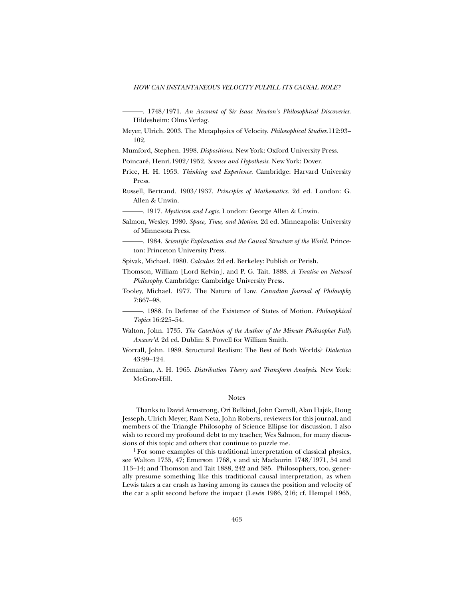———. 1748/1971. *An Account of Sir Isaac Newton's Philosophical Discoveries*. Hildesheim: Olms Verlag.

Meyer, Ulrich. 2003. The Metaphysics of Velocity. *Philosophical Studies*.112:93– 102.

Mumford, Stephen. 1998. *Dispositions*. New York: Oxford University Press.

Poincaré, Henri.1902/1952. *Science and Hypothesis*. New York: Dover.

- Price, H. H. 1953. *Thinking and Experience*. Cambridge: Harvard University Press.
- Russell, Bertrand. 1903/1937. *Principles of Mathematics*. 2d ed. London: G. Allen & Unwin.

———. 1917. *Mysticism and Logic*. London: George Allen & Unwin.

Salmon, Wesley. 1980. *Space, Time, and Motion*. 2d ed. Minneapolis: University of Minnesota Press.

———. 1984. *Scientific Explanation and the Causal Structure of the World*. Princeton: Princeton University Press.

Spivak, Michael. 1980. *Calculus*. 2d ed. Berkeley: Publish or Perish.

- Thomson, William [Lord Kelvin], and P. G. Tait. 1888. *A Treatise on Natural Philosophy.* Cambridge: Cambridge University Press.
- Tooley, Michael. 1977. The Nature of Law. *Canadian Journal of Philosophy* 7:667–98.

———. 1988. In Defense of the Existence of States of Motion. *Philosophical Topics* 16:225–54.

- Walton, John. 1735. *The Catechism of the Author of the Minute Philosopher Fully Answer'd*. 2d ed. Dublin: S. Powell for William Smith.
- Worrall, John. 1989. Structural Realism: The Best of Both Worlds? *Dialectica* 43:99–124.

Zemanian, A. H. 1965. *Distribution Theory and Transform Analysis*. New York: McGraw-Hill.

### Notes

Thanks to David Armstrong, Ori Belkind, John Carroll, Alan Hajék, Doug Jesseph, Ulrich Meyer, Ram Neta, John Roberts, reviewers for this journal, and members of the Triangle Philosophy of Science Ellipse for discussion. I also wish to record my profound debt to my teacher, Wes Salmon, for many discussions of this topic and others that continue to puzzle me.

1 For some examples of this traditional interpretation of classical physics, see Walton 1735, 47; Emerson 1768, v and xi; Maclaurin 1748/1971, 54 and 113–14; and Thomson and Tait 1888, 242 and 385. Philosophers, too, generally presume something like this traditional causal interpretation, as when Lewis takes a car crash as having among its causes the position and velocity of the car a split second before the impact (Lewis 1986, 216; cf. Hempel 1965,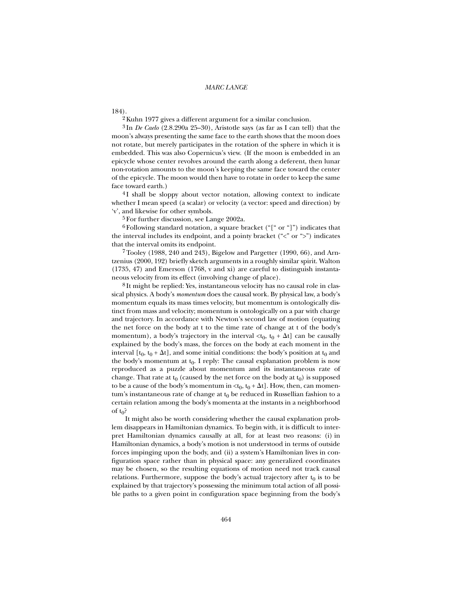184).

2Kuhn 1977 gives a different argument for a similar conclusion.

3 In *De Caelo* (2.8.290a 25–30), Aristotle says (as far as I can tell) that the moon's always presenting the same face to the earth shows that the moon does not rotate, but merely participates in the rotation of the sphere in which it is embedded. This was also Copernicus's view. (If the moon is embedded in an epicycle whose center revolves around the earth along a deferent, then lunar non-rotation amounts to the moon's keeping the same face toward the center of the epicycle. The moon would then have to rotate in order to keep the same face toward earth.)

4 I shall be sloppy about vector notation, allowing context to indicate whether I mean speed (a scalar) or velocity (a vector: speed and direction) by 'v', and likewise for other symbols.

5 For further discussion, see Lange 2002a.

6 Following standard notation, a square bracket ("[" or "]") indicates that the interval includes its endpoint, and a pointy bracket ("<" or ">") indicates that the interval omits its endpoint.

7Tooley (1988, 240 and 243), Bigelow and Pargetter (1990, 66), and Arntzenius (2000, 192) briefly sketch arguments in a roughly similar spirit. Walton (1735, 47) and Emerson (1768, v and xi) are careful to distinguish instantaneous velocity from its effect (involving change of place).

8 It might be replied: Yes, instantaneous velocity has no causal role in classical physics. A body's *momentum* does the causal work. By physical law, a body's momentum equals its mass times velocity, but momentum is ontologically distinct from mass and velocity; momentum is ontologically on a par with charge and trajectory. In accordance with Newton's second law of motion (equating the net force on the body at t to the time rate of change at t of the body's momentum), a body's trajectory in the interval  $,  $t_0 + \Delta t$ ] can be causally$ explained by the body's mass, the forces on the body at each moment in the interval  $[t_0, t_0 + \Delta t]$ , and some initial conditions: the body's position at  $t_0$  and the body's momentum at  $t_0$ . I reply: The causal explanation problem is now reproduced as a puzzle about momentum and its instantaneous rate of change. That rate at  $t_0$  (caused by the net force on the body at  $t_0$ ) is supposed to be a cause of the body's momentum in  $,  $t_0 + \Delta t$ ]. How, then, can momen$ tum's instantaneous rate of change at  $t_0$  be reduced in Russellian fashion to a certain relation among the body's momenta at the instants in a neighborhood of  $t_0$ ?

It might also be worth considering whether the causal explanation problem disappears in Hamiltonian dynamics. To begin with, it is difficult to interpret Hamiltonian dynamics causally at all, for at least two reasons: (i) in Hamiltonian dynamics, a body's motion is not understood in terms of outside forces impinging upon the body, and (ii) a system's Hamiltonian lives in configuration space rather than in physical space: any generalized coordinates may be chosen, so the resulting equations of motion need not track causal relations. Furthermore, suppose the body's actual trajectory after  $t_0$  is to be explained by that trajectory's possessing the minimum total action of all possible paths to a given point in configuration space beginning from the body's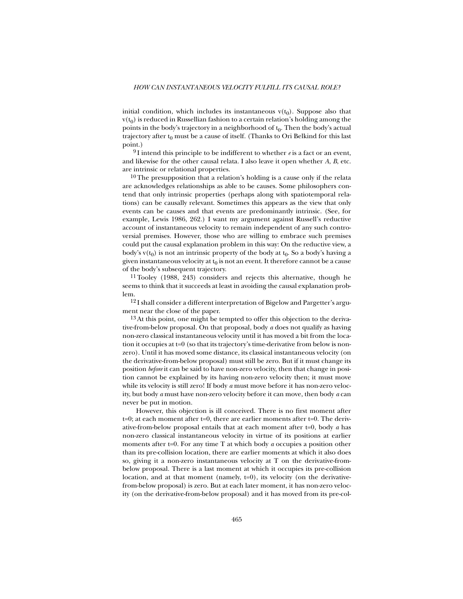initial condition, which includes its instantaneous  $v(t_0)$ . Suppose also that  $v(t_0)$  is reduced in Russellian fashion to a certain relation's holding among the points in the body's trajectory in a neighborhood of  $t_0$ . Then the body's actual trajectory after  $t_0$  must be a cause of itself. (Thanks to Ori Belkind for this last point.)

<sup>9</sup>I intend this principle to be indifferent to whether  $e$  is a fact or an event, and likewise for the other causal relata. I also leave it open whether *A*, *B*, etc. are intrinsic or relational properties.

 $10$ The presupposition that a relation's holding is a cause only if the relata are acknowledges relationships as able to be causes. Some philosophers contend that only intrinsic properties (perhaps along with spatiotemporal relations) can be causally relevant. Sometimes this appears as the view that only events can be causes and that events are predominantly intrinsic. (See, for example, Lewis 1986, 262.) I want my argument against Russell's reductive account of instantaneous velocity to remain independent of any such controversial premises. However, those who are willing to embrace such premises could put the causal explanation problem in this way: On the reductive view, a body's  $v(t_0)$  is not an intrinsic property of the body at  $t_0$ . So a body's having a given instantaneous velocity at  $t_0$  is not an event. It therefore cannot be a cause of the body's subsequent trajectory.

11Tooley (1988, 243) considers and rejects this alternative, though he seems to think that it succeeds at least in avoiding the causal explanation problem.

<sup>12</sup> I shall consider a different interpretation of Bigelow and Pargetter's argument near the close of the paper.

 $13$  At this point, one might be tempted to offer this objection to the derivative-from-below proposal. On that proposal, body *a* does not qualify as having non-zero classical instantaneous velocity until it has moved a bit from the location it occupies at t=0 (so that its trajectory's time-derivative from below is nonzero). Until it has moved some distance, its classical instantaneous velocity (on the derivative-from-below proposal) must still be zero. But if it must change its position *before* it can be said to have non-zero velocity, then that change in position cannot be explained by its having non-zero velocity then; it must move while its velocity is still zero! If body *a* must move before it has non-zero velocity, but body *a* must have non-zero velocity before it can move, then body *a* can never be put in motion.

However, this objection is ill conceived. There is no first moment after t=0; at each moment after t=0, there are earlier moments after t=0. The derivative-from-below proposal entails that at each moment after t=0, body *a* has non-zero classical instantaneous velocity in virtue of its positions at earlier moments after t=0. For any time T at which body *a* occupies a position other than its pre-collision location, there are earlier moments at which it also does so, giving it a non-zero instantaneous velocity at T on the derivative-frombelow proposal. There is a last moment at which it occupies its pre-collision location, and at that moment (namely, t=0), its velocity (on the derivativefrom-below proposal) is zero. But at each later moment, it has non-zero velocity (on the derivative-from-below proposal) and it has moved from its pre-col-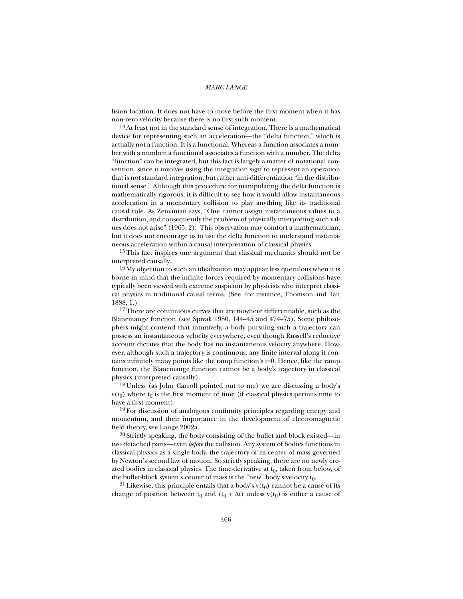lision location. It does not have to move before the first moment when it has non-zero velocity because there is no first such moment.

14At least not in the standard sense of integration. There is a mathematical device for representing such an acceleration—the "delta function," which is actually not a function. It is a functional. Whereas a function associates a number with a number, a functional associates a function with a number. The delta "function" can be integrated, but this fact is largely a matter of notational convention, since it involves using the integration sign to represent an operation that is not standard integration, but rather anti-differentiation "in the distributional sense." Although this procedure for manipulating the delta function is mathematically rigorous, it is difficult to see how it would allow instantaneous acceleration in a momentary collision to play anything like its traditional causal role. As Zemanian says, "One cannot assign instantaneous values to a distribution, and consequently the problem of physically interpreting such values does not arise" (1965, 2). This observation may comfort a mathematician, but it does not encourage us to use the delta function to understand instantaneous acceleration within a causal interpretation of classical physics.

15This fact inspires one argument that classical mechanics should not be interpreted causally.

16 My objection to such an idealization may appear less querulous when it is borne in mind that the infinite forces required by momentary collisions have typically been viewed with extreme suspicion by physicists who interpret classical physics in traditional causal terms. (See, for instance, Thomson and Tait 1888, 1.)

17There are continuous curves that are nowhere differentiable, such as the Blancmange function (see Spivak 1980, 144–45 and 474–75). Some philosophers might contend that intuitively, a body pursuing such a trajectory can possess an instantaneous velocity everywhere, even though Russell's reductive account dictates that the body has no instantaneous velocity anywhere. However, although such a trajectory is continuous, any finite interval along it contains infinitely many points like the ramp function's t=0. Hence, like the ramp function, the Blancmange function cannot be a body's trajectory in classical physics (interpreted causally).

18 Unless (as John Carroll pointed out to me) we are discussing a body's  $v(t_0)$  where  $t_0$  is the first moment of time (if classical physics permits time to have a first moment).

<sup>19</sup> For discussion of analogous continuity principles regarding energy and momentum, and their importance in the development of electromagnetic field theory, see Lange 2002a.

 $20$  Strictly speaking, the body consisting of the bullet and block existed—in two detached parts—even *before* the collision. Any system of bodies functions in classical physics as a single body, the trajectory of its center of mass governed by Newton's second law of motion. So strictly speaking, there are no newly created bodies in classical physics. The time-derivative at  $t_0$ , taken from below, of the bullet-block system's center of mass is the "new" body's velocity  $t_0$ .

<sup>21</sup> Likewise, this principle entails that a body's v(t<sub>0</sub>) cannot be a cause of its change of position between  $t_0$  and  $(t_0 + \Delta t)$  unless v( $t_0$ ) is either a cause of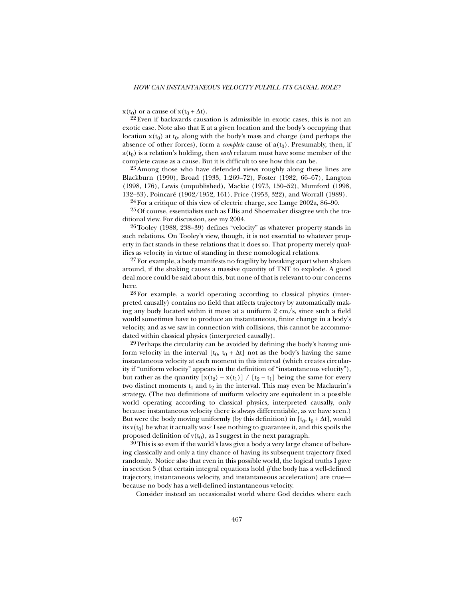$x(t_0)$  or a cause of  $x(t_0 + \Delta t)$ .

22 Even if backwards causation is admissible in exotic cases, this is not an exotic case. Note also that E at a given location and the body's occupying that location  $x(t_0)$  at  $t_0$ , along with the body's mass and charge (and perhaps the absence of other forces), form a *complete* cause of  $a(t_0)$ . Presumably, then, if  $a(t_0)$  is a relation's holding, then *each* relatum must have some member of the complete cause as a cause. But it is difficult to see how this can be.

23Among those who have defended views roughly along these lines are Blackburn (1990), Broad (1933, 1:269–72), Foster (1982, 66–67), Langton (1998, 176), Lewis (unpublished), Mackie (1973, 150–52), Mumford (1998, 132–33), Poincaré (1902/1952, 161), Price (1953, 322), and Worrall (1989).

24 For a critique of this view of electric charge, see Lange 2002a, 86–90.

25 Of course, essentialists such as Ellis and Shoemaker disagree with the traditional view. For discussion, see my 2004.

26Tooley (1988, 238–39) defines "velocity" as whatever property stands in such relations. On Tooley's view, though, it is not essential to whatever property in fact stands in these relations that it does so. That property merely qualifies as velocity in virtue of standing in these nomological relations.

<sup>27</sup> For example, a body manifests no fragility by breaking apart when shaken around, if the shaking causes a massive quantity of TNT to explode. A good deal more could be said about this, but none of that is relevant to our concerns here.

28 For example, a world operating according to classical physics (interpreted causally) contains no field that affects trajectory by automatically making any body located within it move at a uniform 2 cm/s, since such a field would sometimes have to produce an instantaneous, finite change in a body's velocity, and as we saw in connection with collisions, this cannot be accommodated within classical physics (interpreted causally).

 $29$  Perhaps the circularity can be avoided by defining the body's having uniform velocity in the interval [t<sub>0</sub>, t<sub>0</sub> +  $\Delta t$ ] not as the body's having the same instantaneous velocity at each moment in this interval (which creates circularity if "uniform velocity" appears in the definition of "instantaneous velocity"), but rather as the quantity  $[x(t_2) - x(t_1)] / [t_2 - t_1]$  being the same for every two distinct moments  $t_1$  and  $t_2$  in the interval. This may even be Maclaurin's strategy. (The two definitions of uniform velocity are equivalent in a possible world operating according to classical physics, interpreted causally, only because instantaneous velocity there is always differentiable, as we have seen.) But were the body moving uniformly (by this definition) in  $[t_0, t_0 + \Delta t]$ , would its  $v(t_0)$  be what it actually was? I see nothing to guarantee it, and this spoils the proposed definition of  $v(t_0)$ , as I suggest in the next paragraph.

30This is so even if the world's laws give a body a very large chance of behaving classically and only a tiny chance of having its subsequent trajectory fixed randomly. Notice also that even in this possible world, the logical truths I gave in section 3 (that certain integral equations hold *if* the body has a well-defined trajectory, instantaneous velocity, and instantaneous acceleration) are true because no body has a well-defined instantaneous velocity.

Consider instead an occasionalist world where God decides where each